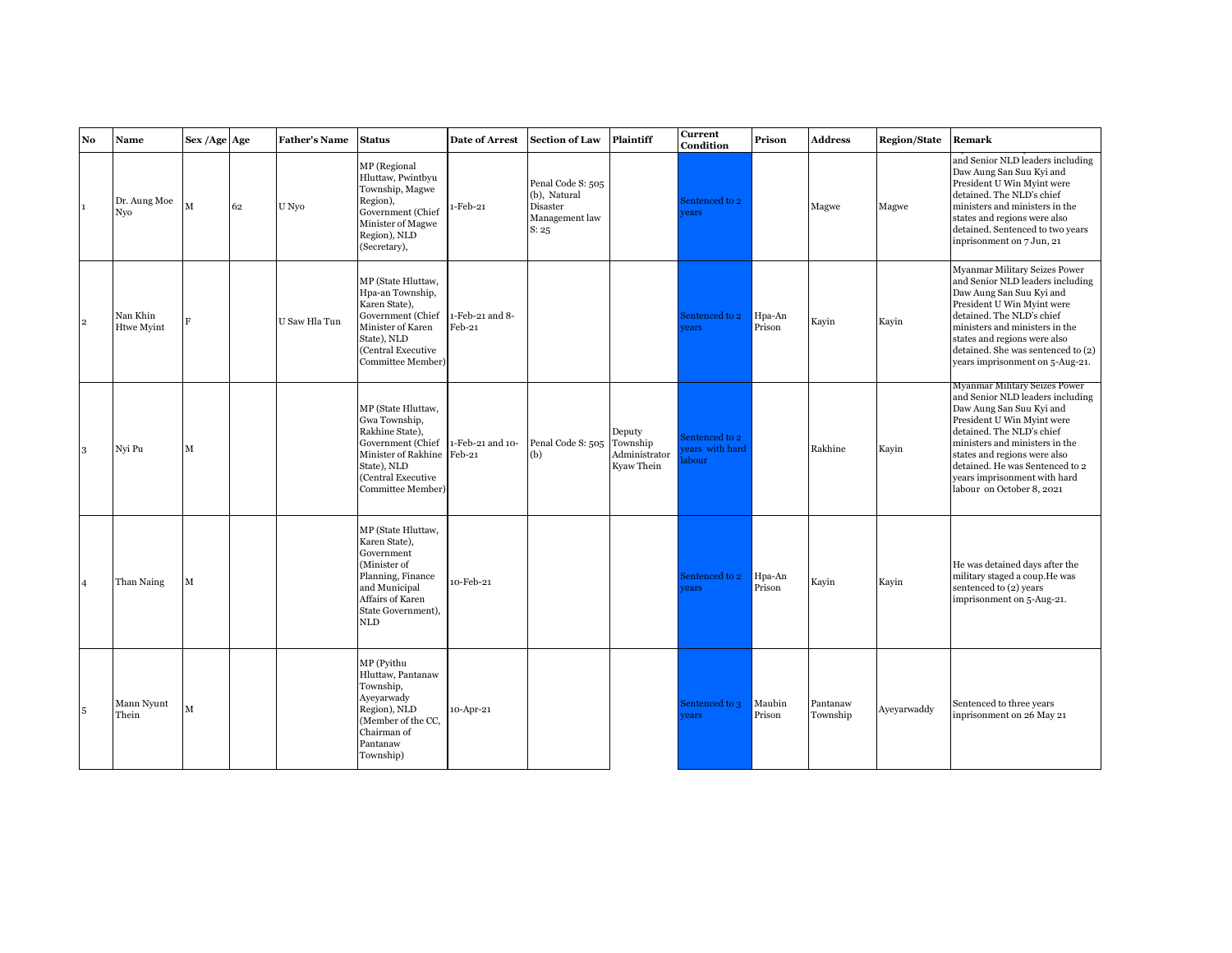| No             | Name                       | Sex / Age Age |    | <b>Father's Name</b> | <b>Status</b>                                                                                                                                                                        | <b>Date of Arrest</b>       | <b>Section of Law</b>                                                    | Plaintiff                             | <b>Current</b><br>Condition               | Prison           | <b>Address</b>       | <b>Region/State</b> | Remark                                                                                                                                                                                                                                                                                                                     |
|----------------|----------------------------|---------------|----|----------------------|--------------------------------------------------------------------------------------------------------------------------------------------------------------------------------------|-----------------------------|--------------------------------------------------------------------------|---------------------------------------|-------------------------------------------|------------------|----------------------|---------------------|----------------------------------------------------------------------------------------------------------------------------------------------------------------------------------------------------------------------------------------------------------------------------------------------------------------------------|
| 1              | Dr. Aung Moe<br><b>Nvo</b> | M             | 62 | U Nyo                | MP (Regional<br>Hluttaw, Pwintbyu<br>Township, Magwe<br>Region),<br>Government (Chief<br>Minister of Magwe<br>Region), NLD<br>(Secretary),                                           | 1-Feb-21                    | Penal Code S: 505<br>(b), Natural<br>Disaster<br>Management law<br>S: 25 |                                       | Sentenced to 2<br>rears                   |                  | Magwe                | Magwe               | and Senior NLD leaders including<br>Daw Aung San Suu Kyi and<br>President U Win Myint were<br>detained. The NLD's chief<br>ministers and ministers in the<br>states and regions were also<br>detained. Sentenced to two years<br>inprisonment on 7 Jun, 21                                                                 |
| $\overline{2}$ | Nan Khin<br>Htwe Myint     | F             |    | U Saw Hla Tun        | MP (State Hluttaw,<br>Hpa-an Township,<br>Karen State),<br>Government (Chief<br>Minister of Karen<br>State), NLD<br>(Central Executive<br>Committee Member)                          | 1-Feb-21 and 8-<br>$Feb-21$ |                                                                          |                                       | Sentenced to 2<br>ears                    | Hpa-An<br>Prison | Kayin                | Kayin               | Myanmar Military Seizes Power<br>and Senior NLD leaders including<br>Daw Aung San Suu Kyi and<br>President U Win Myint were<br>detained. The NLD's chief<br>ministers and ministers in the<br>states and regions were also<br>detained. She was sentenced to (2)<br>years imprisonment on 5-Aug-21.                        |
| 3              | Nyi Pu                     | $\mathbf M$   |    |                      | MP (State Hluttaw,<br>Gwa Township,<br>Rakhine State),<br>Government (Chief 1-Feb-21 and 10-<br>Minister of Rakhine Feb-21<br>State), NLD<br>(Central Executive<br>Committee Member) |                             | Penal Code S: 505 Township<br>(b)                                        | Deputy<br>Administrator<br>Kyaw Thein | Sentenced to 2<br>ears with hard<br>abour |                  | Rakhine              | Kayin               | Myanmar Military Seizes Power<br>and Senior NLD leaders including<br>Daw Aung San Suu Kyi and<br>President U Win Myint were<br>detained. The NLD's chief<br>ministers and ministers in the<br>states and regions were also<br>detained. He was Sentenced to 2<br>years imprisonment with hard<br>labour on October 8, 2021 |
| $\overline{4}$ | Than Naing                 | M             |    |                      | MP (State Hluttaw,<br>Karen State),<br>Government<br>(Minister of<br>Planning, Finance<br>and Municipal<br>Affairs of Karen<br>State Government),<br><b>NLD</b>                      | 10-Feb-21                   |                                                                          |                                       | entenced to 2<br>ears                     | Hpa-An<br>Prison | Kayin                | Kayin               | He was detained days after the<br>military staged a coup. He was<br>sentenced to (2) years<br>imprisonment on 5-Aug-21.                                                                                                                                                                                                    |
| 5              | Mann Nyunt<br>Thein        | M             |    |                      | MP (Pyithu<br>Hluttaw, Pantanaw<br>Township,<br>Ayeyarwady<br>Region), NLD<br>(Member of the CC.<br>Chairman of<br>Pantanaw<br>Township)                                             | 10-Apr-21                   |                                                                          |                                       | Sentenced to 3<br><i>rears</i>            | Maubin<br>Prison | Pantanaw<br>Township | Ayeyarwaddy         | Sentenced to three years<br>inprisonment on 26 May 21                                                                                                                                                                                                                                                                      |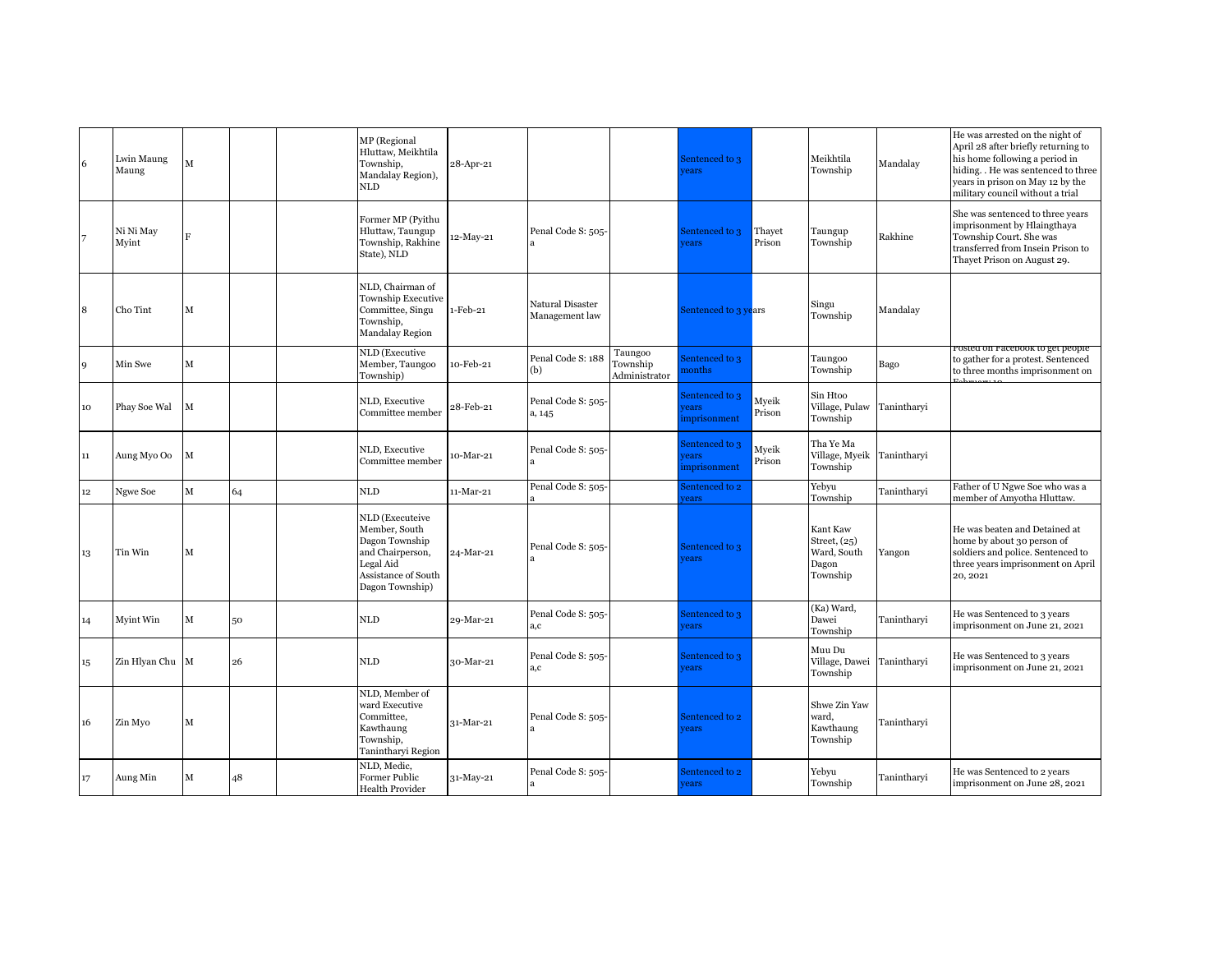| 6      | Lwin Maung<br>Maung | M            |    | MP (Regional<br>Hluttaw, Meikhtila<br>Township,<br>Mandalay Region),<br>NLD                                                   | 28-Apr-21 |                                    |                                      | Sentenced to 3<br>ears                |                  | Meikhtila<br>Township                                          | Mandalay    | He was arrested on the night of<br>April 28 after briefly returning to<br>his home following a period in<br>hiding. . He was sentenced to three<br>years in prison on May 12 by the<br>military council without a trial |
|--------|---------------------|--------------|----|-------------------------------------------------------------------------------------------------------------------------------|-----------|------------------------------------|--------------------------------------|---------------------------------------|------------------|----------------------------------------------------------------|-------------|-------------------------------------------------------------------------------------------------------------------------------------------------------------------------------------------------------------------------|
| 7      | Ni Ni May<br>Myint  | $\mathbf{F}$ |    | Former MP (Pyithu<br>Hluttaw, Taungup<br>Township, Rakhine<br>State), NLD                                                     | 12-May-21 | Penal Code S: 505-                 |                                      | Sentenced to 3<br>rears               | Thayet<br>Prison | Taungup<br>Township                                            | Rakhine     | She was sentenced to three years<br>imprisonment by Hlaingthaya<br>Township Court. She was<br>transferred from Insein Prison to<br>Thayet Prison on August 29.                                                          |
| 8      | Cho Tint            | М            |    | NLD, Chairman of<br>Township Executive<br>Committee, Singu<br>Township,<br>Mandalay Region                                    | 1-Feb-21  | Natural Disaster<br>Management law |                                      | Sentenced to 3 years                  |                  | Singu<br>Township                                              | Mandalay    |                                                                                                                                                                                                                         |
| 9      | Min Swe             | $\mathbf M$  |    | NLD (Executive<br>Member, Taungoo<br>Township)                                                                                | 10-Feb-21 | Penal Code S: 188<br>(b)           | Taungoo<br>Township<br>Administrator | Sentenced to 3<br>nonths              |                  | Taungoo<br>Township                                            | Bago        | osteu on Facebook to get people.<br>to gather for a protest. Sentenced<br>to three months imprisonment on                                                                                                               |
| 10     | Phay Soe Wal        | М            |    | NLD, Executive<br>Committee member                                                                                            | 28-Feb-21 | Penal Code S: 505-<br>a, 145       |                                      | Sentenced to 3<br>ears<br>mprisonment | Myeik<br>Prison  | Sin Htoo<br>Village, Pulaw<br>Township                         | Tanintharvi |                                                                                                                                                                                                                         |
| 11     | Aung Myo Oo         | М            |    | NLD, Executive<br>Committee member                                                                                            | 10-Mar-21 | Penal Code S: 505-                 |                                      | Sentenced to 3<br>ears<br>mprisonment | Myeik<br>Prison  | Tha Ye Ma<br>Village, Myeik<br>Township                        | Tanintharyi |                                                                                                                                                                                                                         |
| $12\,$ | Ngwe Soe            | М            | 64 | <b>NLD</b>                                                                                                                    | 11-Mar-21 | Penal Code S: 505-                 |                                      | sentenced to 2<br>ears                |                  | Yebyu<br>Township                                              | Tanintharvi | Father of U Ngwe Soe who was a<br>member of Amyotha Hluttaw.                                                                                                                                                            |
| 13     | Tin Win             | М            |    | NLD (Executeive<br>Member, South<br>Dagon Township<br>and Chairperson,<br>Legal Aid<br>Assistance of South<br>Dagon Township) | 24-Mar-21 | Penal Code S: 505-                 |                                      | Sentenced to 3<br>rears               |                  | Kant Kaw<br>Street, $(25)$<br>Ward, South<br>Dagon<br>Township | Yangon      | He was beaten and Detained at<br>home by about 30 person of<br>soldiers and police. Sentenced to<br>three years imprisonment on April<br>20, 2021                                                                       |
| 14     | Myint Win           | $\mathbf M$  | 50 | <b>NLD</b>                                                                                                                    | 29-Mar-21 | Penal Code S: 505-<br>a,c          |                                      | Sentenced to 3<br>rears               |                  | (Ka) Ward,<br>Dawei<br>Township                                | Tanintharvi | He was Sentenced to 3 years<br>imprisonment on June 21, 2021                                                                                                                                                            |
| 15     | Zin Hlyan Chu       | $\mathbf M$  | 26 | $\mbox{NLD}$                                                                                                                  | 30-Mar-21 | Penal Code S: 505-<br>a,c          |                                      | Sentenced to 3<br>rears               |                  | Muu Du<br>Village, Dawei<br>Township                           | Tanintharvi | He was Sentenced to 3 years<br>imprisonment on June 21, 2021                                                                                                                                                            |
| 16     | Zin Myo             | М            |    | NLD, Member of<br>ward Executive<br>Committee,<br>Kawthaung<br>Township,<br>Tanintharyi Region                                | 31-Mar-21 | Penal Code S: 505-                 |                                      | Sentenced to 2<br>rears               |                  | Shwe Zin Yaw<br>ward,<br>Kawthaung<br>Township                 | Tanintharyi |                                                                                                                                                                                                                         |
| $17\,$ | Aung Min            | М            | 48 | NLD, Medic,<br>Former Public<br>Health Provider                                                                               | 31-May-21 | Penal Code S: 505-<br>a            |                                      | Sentenced to 2<br>rears               |                  | Yebyu<br>Township                                              | Tanintharyi | He was Sentenced to 2 years<br>imprisonment on June 28, 2021                                                                                                                                                            |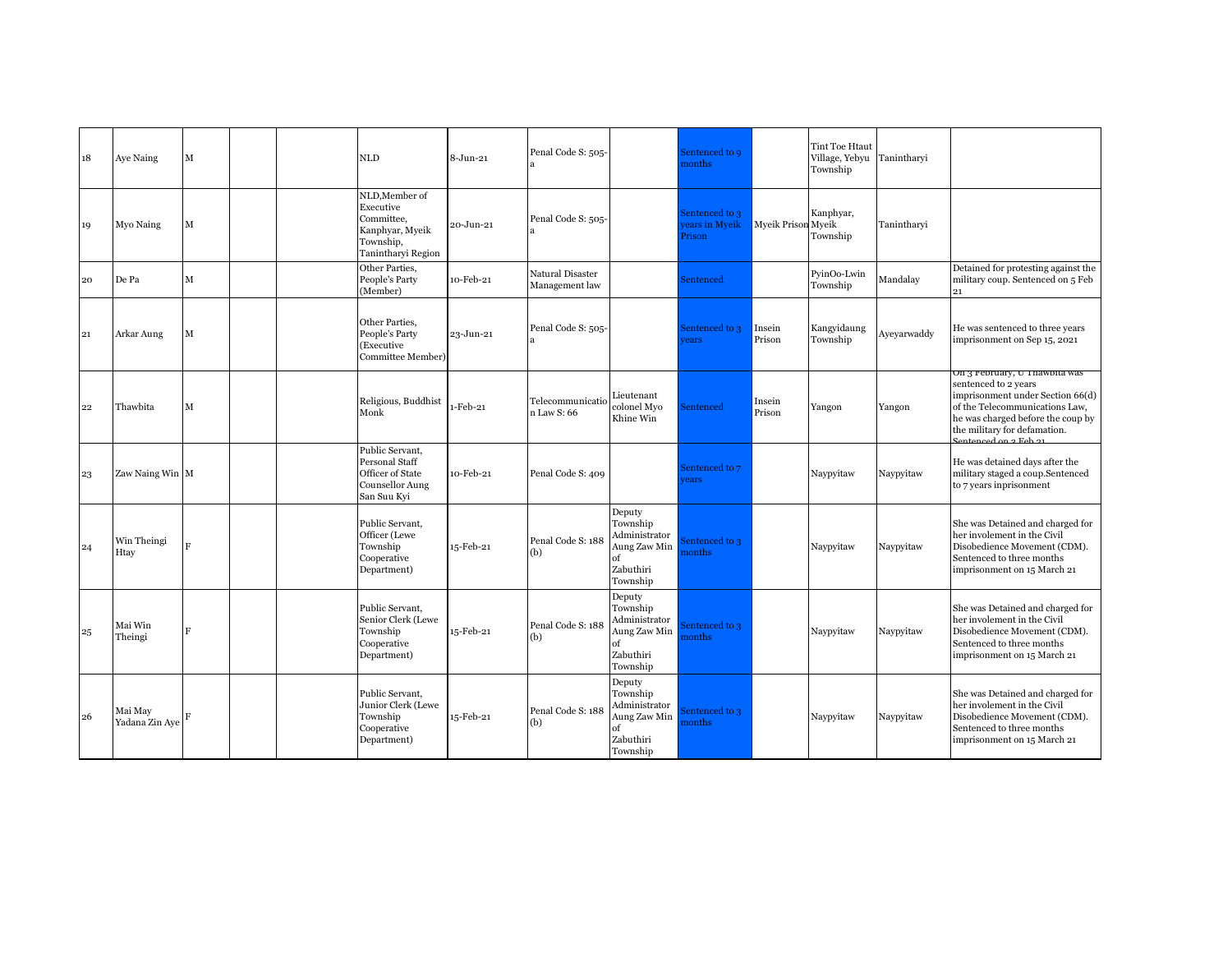| 18           | Aye Naing                 | M |  | $\mbox{NLD}$                                                                                    | 8-Jun-21  | Penal Code S: 505-                 |                                                                                    | Sentenced to 9<br>nonths                  |                    | <b>Tint Toe Htaut</b><br>Village, Yebyu<br>Township | Tanintharvi |                                                                                                                                                                                                                           |
|--------------|---------------------------|---|--|-------------------------------------------------------------------------------------------------|-----------|------------------------------------|------------------------------------------------------------------------------------|-------------------------------------------|--------------------|-----------------------------------------------------|-------------|---------------------------------------------------------------------------------------------------------------------------------------------------------------------------------------------------------------------------|
| 19           | Myo Naing                 | M |  | NLD, Member of<br>Executive<br>Committee,<br>Kanphyar, Myeik<br>Township,<br>Tanintharyi Region | 20-Jun-21 | Penal Code S: 505-                 |                                                                                    | Sentenced to 3<br>ears in Myeik<br>Prison | Myeik Prison Myeik | Kanphyar,<br>Township                               | Tanintharvi |                                                                                                                                                                                                                           |
| 20           | De Pa                     | M |  | Other Parties,<br>People's Party<br>(Member)                                                    | 10-Feb-21 | Natural Disaster<br>Management law |                                                                                    | Sentenced                                 |                    | PyinOo-Lwin<br>Township                             | Mandalay    | Detained for protesting against the<br>military coup. Sentenced on 5 Feb<br>21                                                                                                                                            |
| 21           | Arkar Aung                | M |  | Other Parties,<br>People's Party<br>(Executive<br>Committee Member)                             | 23-Jun-21 | Penal Code S: 505-                 |                                                                                    | Sentenced to 3<br><i>rears</i>            | Insein<br>Prison   | Kangyidaung<br>Township                             | Ayeyarwaddy | He was sentenced to three years<br>imprisonment on Sep 15, 2021                                                                                                                                                           |
| $22^{\circ}$ | Thawbita                  | M |  | Religious, Buddhist<br>Monk                                                                     | 1-Feb-21  | Telecommunicatio<br>n Law S: 66    | Lieutenant<br>colonel Myo<br>Khine Win                                             | Sentenced                                 | Insein<br>Prison   | Yangon                                              | Yangon      | On 3 February, U Thawbita was<br>sentenced to 2 years<br>imprisonment under Section 66(d)<br>of the Telecommunications Law,<br>he was charged before the coup by<br>the military for defamation.<br>lantangad an a Fab ay |
| 23           | Zaw Naing Win             |   |  | Public Servant,<br>Personal Staff<br>Officer of State<br>Counsellor Aung<br>San Suu Kyi         | 10-Feb-21 | Penal Code S: 409                  |                                                                                    | Sentenced to 7<br>rears                   |                    | Naypyitaw                                           | Naypyitaw   | He was detained days after the<br>military staged a coup.Sentenced<br>to 7 years inprisonment                                                                                                                             |
| 24           | Win Theingi<br>Htay       | F |  | Public Servant,<br>Officer (Lewe<br>Township<br>Cooperative<br>Department)                      | 15-Feb-21 | Penal Code S: 188<br>(b)           | Deputy<br>Township<br>Administrator<br>Aung Zaw Min<br>of<br>Zabuthiri<br>Township | entenced to 3<br>nonths                   |                    | Naypyitaw                                           | Naypyitaw   | She was Detained and charged for<br>her involement in the Civil<br>Disobedience Movement (CDM).<br>Sentenced to three months<br>imprisonment on 15 March 21                                                               |
| 25           | Mai Win<br>Theingi        | F |  | Public Servant,<br>Senior Clerk (Lewe<br>Township<br>Cooperative<br>Department)                 | 15-Feb-21 | Penal Code S: 188<br>(b)           | Deputy<br>Township<br>Administrator<br>Aung Zaw Min<br>of<br>Zabuthiri<br>Township | entenced to 3<br>nonths                   |                    | Naypyitaw                                           | Naypyitaw   | She was Detained and charged for<br>her involement in the Civil<br>Disobedience Movement (CDM).<br>Sentenced to three months<br>imprisonment on 15 March 21                                                               |
| 26           | Mai May<br>Yadana Zin Aye | F |  | Public Servant,<br>Junior Clerk (Lewe<br>Township<br>Cooperative<br>Department)                 | 15-Feb-21 | Penal Code S: 188<br>(b)           | Deputy<br>Township<br>Administrator<br>Aung Zaw Min<br>of<br>Zabuthiri<br>Township | entenced to 3<br>nonths                   |                    | Naypyitaw                                           | Naypyitaw   | She was Detained and charged for<br>her involement in the Civil<br>Disobedience Movement (CDM).<br>Sentenced to three months<br>imprisonment on 15 March 21                                                               |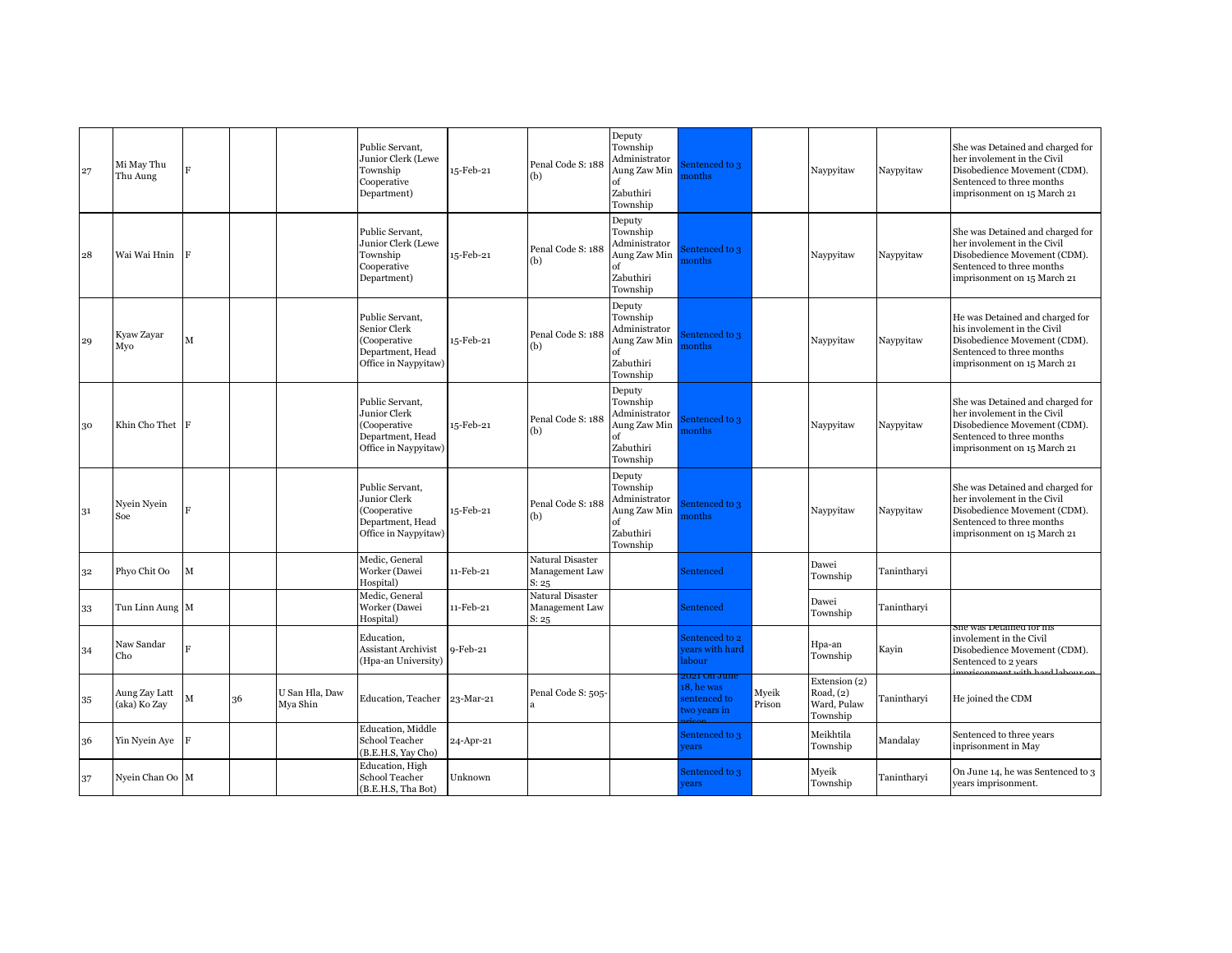| 27 | Mi May Thu<br>Thu Aung        | $\overline{F}$ |    |                            | Public Servant,<br>Junior Clerk (Lewe<br>Township<br>Cooperative<br>Department)             | 15-Feb-21 | Penal Code S: 188<br>(b)                    | Deputy<br>Township<br>Administrator<br>Aung Zaw Min<br>of<br>Zabuthiri<br>Township | entenced to 3<br><b>nonths</b>                          |                 | Naypyitaw                                             | Naypyitaw   | She was Detained and charged for<br>her involement in the Civil<br>Disobedience Movement (CDM).<br>Sentenced to three months<br>imprisonment on 15 March 21 |
|----|-------------------------------|----------------|----|----------------------------|---------------------------------------------------------------------------------------------|-----------|---------------------------------------------|------------------------------------------------------------------------------------|---------------------------------------------------------|-----------------|-------------------------------------------------------|-------------|-------------------------------------------------------------------------------------------------------------------------------------------------------------|
| 28 | Wai Wai Hnin                  | $\mathbf{F}$   |    |                            | Public Servant.<br>Junior Clerk (Lewe<br>Township<br>Cooperative<br>Department)             | 15-Feb-21 | Penal Code S: 188<br>(b)                    | Deputy<br>Township<br>Administrator<br>Aung Zaw Min<br>of<br>Zabuthiri<br>Township | entenced to 3<br><b>nonths</b>                          |                 | Naypyitaw                                             | Naypyitaw   | She was Detained and charged for<br>her involement in the Civil<br>Disobedience Movement (CDM).<br>Sentenced to three months<br>imprisonment on 15 March 21 |
| 29 | Kyaw Zayar<br>Mvo             | М              |    |                            | Public Servant,<br>Senior Clerk<br>(Cooperative<br>Department, Head<br>Office in Naypyitaw) | 15-Feb-21 | Penal Code S: 188<br>(b)                    | Deputy<br>Township<br>Administrator<br>Aung Zaw Min<br>of<br>Zabuthiri<br>Township | entenced to 3<br>onths                                  |                 | Naypyitaw                                             | Naypyitaw   | He was Detained and charged for<br>his involement in the Civil<br>Disobedience Movement (CDM).<br>Sentenced to three months<br>imprisonment on 15 March 21  |
| 30 | Khin Cho Thet $ F $           |                |    |                            | Public Servant.<br>Junior Clerk<br>(Cooperative<br>Department, Head<br>Office in Naypyitaw) | 15-Feb-21 | Penal Code S: 188<br>(b)                    | Deputy<br>Township<br>Administrator<br>Aung Zaw Min<br>of<br>Zabuthiri<br>Township | entenced to 3<br><b>nonths</b>                          |                 | Naypyitaw                                             | Naypyitaw   | She was Detained and charged for<br>her involement in the Civil<br>Disobedience Movement (CDM).<br>Sentenced to three months<br>imprisonment on 15 March 21 |
| 31 | Nyein Nyein<br>Soe            | $\mathbf{F}$   |    |                            | Public Servant,<br>Junior Clerk<br>(Cooperative<br>Department, Head<br>Office in Naypyitaw) | 15-Feb-21 | Penal Code S: 188<br>(b)                    | Deputy<br>Township<br>Administrator<br>Aung Zaw Min<br>of<br>Zabuthiri<br>Township | entenced to 3<br><b>nonths</b>                          |                 | Naypyitaw                                             | Naypyitaw   | She was Detained and charged for<br>her involement in the Civil<br>Disobedience Movement (CDM).<br>Sentenced to three months<br>imprisonment on 15 March 21 |
| 32 | Phyo Chit Oo                  | М              |    |                            | Medic, General<br>Worker (Dawei<br>Hospital)                                                | 11-Feb-21 | Natural Disaster<br>Management Law<br>S: 25 |                                                                                    | Sentenced                                               |                 | Dawei<br>Township                                     | Tanintharvi |                                                                                                                                                             |
| 33 | Tun Linn Aung M               |                |    |                            | Medic, General<br>Worker (Dawei<br>Hospital)                                                | 11-Feb-21 | Natural Disaster<br>Management Law<br>S: 25 |                                                                                    | Sentenced                                               |                 | Dawei<br>Township                                     | Tanintharvi | sne was detamed for mis                                                                                                                                     |
| 34 | Naw Sandar<br>Cho             |                |    |                            | Education,<br>Assistant Archivist<br>(Hpa-an University)                                    | 9-Feb-21  |                                             |                                                                                    | entenced to 2<br>ears with hard<br>abour                |                 | Hpa-an<br>Township                                    | Kayin       | involement in the Civil<br>Disobedience Movement (CDM).<br>Sentenced to 2 years                                                                             |
| 35 | Aung Zay Latt<br>(aka) Ko Zav | М              | 36 | U San Hla, Daw<br>Mya Shin | Education, Teacher                                                                          | 23-Mar-21 | Penal Code S: 505-                          |                                                                                    | :021 On June<br>8, he was<br>entenced to<br>wo years in | Myeik<br>Prison | Extension (2)<br>ad, $(2)$<br>Ward, Pulaw<br>Township | Tanintharyi | He joined the CDM                                                                                                                                           |
| 36 | Yin Nyein Aye $\ F\ $         |                |    |                            | <b>Education</b> , Middle<br>School Teacher<br>(B.E.H.S, Yay Cho)                           | 24-Apr-21 |                                             |                                                                                    | Sentenced to 3<br>ears                                  |                 | Meikhtila<br>Township                                 | Mandalay    | Sentenced to three years<br>inprisonment in May                                                                                                             |
| 37 | Nyein Chan Oo M               |                |    |                            | <b>Education</b> , High<br>School Teacher<br>(B.E.H.S, Tha Bot)                             | Unknown   |                                             |                                                                                    | sentenced to 3<br>rears                                 |                 | Myeik<br>Township                                     | Tanintharvi | On June 14, he was Sentenced to 3<br>years imprisonment.                                                                                                    |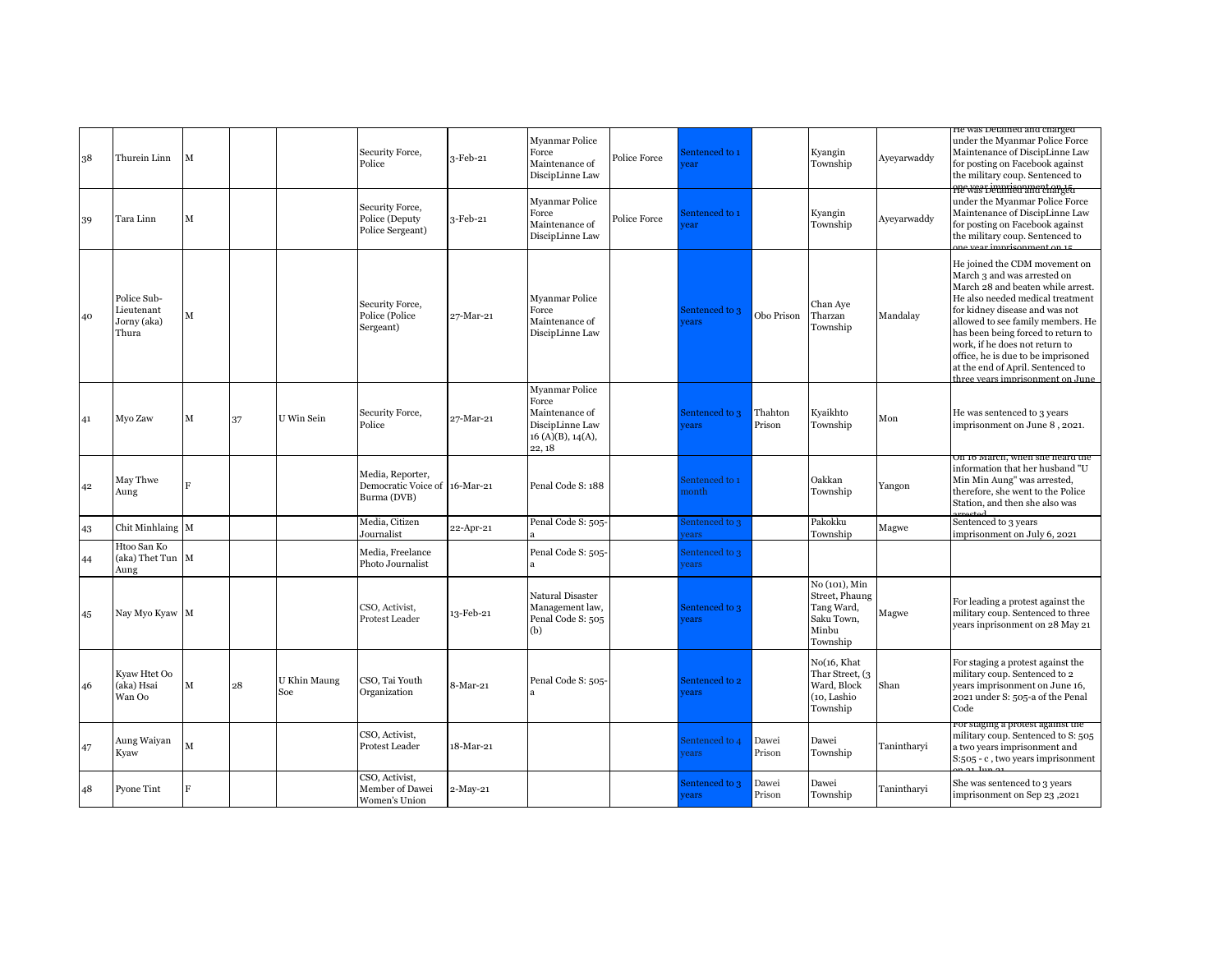| 38 | Thurein Linn                                      | М |    |                     | Security Force,<br>Police                                        | 3-Feb-21   | Myanmar Police<br>Force<br>Maintenance of<br>DiscipLinne Law                               | Police Force | Sentenced to 1<br>ear          |                   | Kyangin<br>Township                                                              | Ayeyarwaddy | He was Detained and charged<br>under the Myanmar Police Force<br>Maintenance of DiscipLinne Law<br>for posting on Facebook against<br>the military coup. Sentenced to                                                                                                                                                                                                                               |
|----|---------------------------------------------------|---|----|---------------------|------------------------------------------------------------------|------------|--------------------------------------------------------------------------------------------|--------------|--------------------------------|-------------------|----------------------------------------------------------------------------------|-------------|-----------------------------------------------------------------------------------------------------------------------------------------------------------------------------------------------------------------------------------------------------------------------------------------------------------------------------------------------------------------------------------------------------|
| 39 | Tara Linn                                         | M |    |                     | Security Force,<br>Police (Deputy<br>Police Sergeant)            | 3-Feb-21   | Myanmar Police<br>Force<br>Maintenance of<br>DiscipLinne Law                               | Police Force | entenced to 1<br>ear           |                   | Kyangin<br>Township                                                              | Avevarwaddy | He was beramed and charged<br>under the Myanmar Police Force<br>Maintenance of DiscipLinne Law<br>for posting on Facebook against<br>the military coup. Sentenced to                                                                                                                                                                                                                                |
| 40 | Police Sub-<br>Lieutenant<br>Jorny (aka)<br>Thura | м |    |                     | Security Force,<br>Police (Police<br>Sergeant)                   | 27-Mar-21  | Myanmar Police<br>Force<br>Maintenance of<br>DiscipLinne Law                               |              | Sentenced to 3<br><i>rears</i> | Obo Prison        | Chan Aye<br>Tharzan<br>Township                                                  | Mandalay    | He joined the CDM movement on<br>March 3 and was arrested on<br>March 28 and beaten while arrest.<br>He also needed medical treatment<br>for kidney disease and was not<br>allowed to see family members. He<br>has been being forced to return to<br>work, if he does not return to<br>office, he is due to be imprisoned<br>at the end of April. Sentenced to<br>three years imprisonment on June |
| 41 | Myo Zaw                                           | M | 37 | U Win Sein          | Security Force,<br>Police                                        | 27-Mar-21  | Myanmar Police<br>Force<br>Maintenance of<br>DiscipLinne Law<br>16(A)(B), 14(A),<br>22, 18 |              | Sentenced to 3<br>rears        | Thahton<br>Prison | Kyaikhto<br>Township                                                             | Mon         | He was sentenced to 3 years<br>imprisonment on June 8, 2021.                                                                                                                                                                                                                                                                                                                                        |
| 42 | May Thwe<br>Aung                                  | F |    |                     | Media, Reporter,<br>Democratic Voice of 16-Mar-21<br>Burma (DVB) |            | Penal Code S: 188                                                                          |              | sentenced to 1<br>nonth        |                   | Oakkan<br>Township                                                               | Yangon      | On 16 March, when she heard the<br>information that her husband "U<br>Min Min Aung" was arrested,<br>therefore, she went to the Police<br>Station, and then she also was                                                                                                                                                                                                                            |
| 43 | Chit Minhlaing M                                  |   |    |                     | Media, Citizen<br>Journalist                                     | 22-Apr-21  | Penal Code S: 505-                                                                         |              | sentenced to 3<br>ears         |                   | Pakokku<br>Township                                                              | Magwe       | Sentenced to 3 years<br>imprisonment on July 6, 2021                                                                                                                                                                                                                                                                                                                                                |
| 44 | Htoo San Ko<br>(aka) Thet Tun M<br>Aung           |   |    |                     | Media, Freelance<br>Photo Journalist                             |            | Penal Code S: 505-<br>$\mathbf{a}$                                                         |              | Sentenced to 3<br>rears        |                   |                                                                                  |             |                                                                                                                                                                                                                                                                                                                                                                                                     |
| 45 | Nay Myo Kyaw M                                    |   |    |                     | CSO, Activist,<br>Protest Leader                                 | 13-Feb-21  | Natural Disaster<br>Management law,<br>Penal Code S: 505<br>(b)                            |              | Sentenced to 3<br>rears        |                   | No (101), Min<br>Street, Phaung<br>Tang Ward,<br>Saku Town,<br>Minbu<br>Township | Magwe       | For leading a protest against the<br>military coup. Sentenced to three<br>years inprisonment on 28 May 21                                                                                                                                                                                                                                                                                           |
| 46 | Kyaw Htet Oo<br>(aka) Hsai<br>Wan Oo              | M | 28 | U Khin Maung<br>Soe | CSO, Tai Youth<br>Organization                                   | 8-Mar-21   | Penal Code S: 505-<br>a                                                                    |              | Sentenced to 2<br>rears        |                   | No(16, Khat<br>Thar Street, (3<br>Ward, Block<br>(10, Lashio<br>Township         | Shan        | For staging a protest against the<br>military coup. Sentenced to 2<br>years imprisonment on June 16,<br>2021 under S: 505-a of the Penal<br>Code                                                                                                                                                                                                                                                    |
| 47 | Aung Waiyan<br>Kyaw                               | M |    |                     | CSO, Activist,<br>Protest Leader                                 | 18-Mar-21  |                                                                                            |              | Sentenced to 4<br>ears         | Dawei<br>Prison   | Dawei<br>Township                                                                | Tanintharyi | ror staging a protest against the<br>military coup. Sentenced to S: 505<br>a two years imprisonment and<br>S:505 - c, two years imprisonment                                                                                                                                                                                                                                                        |
| 48 | Pyone Tint                                        | F |    |                     | CSO, Activist,<br>Member of Dawei<br>Women's Union               | $2-May-21$ |                                                                                            |              | sentenced to 3<br>ears         | Dawei<br>Prison   | Dawei<br>Township                                                                | Tanintharvi | She was sentenced to 3 years<br>imprisonment on Sep 23,2021                                                                                                                                                                                                                                                                                                                                         |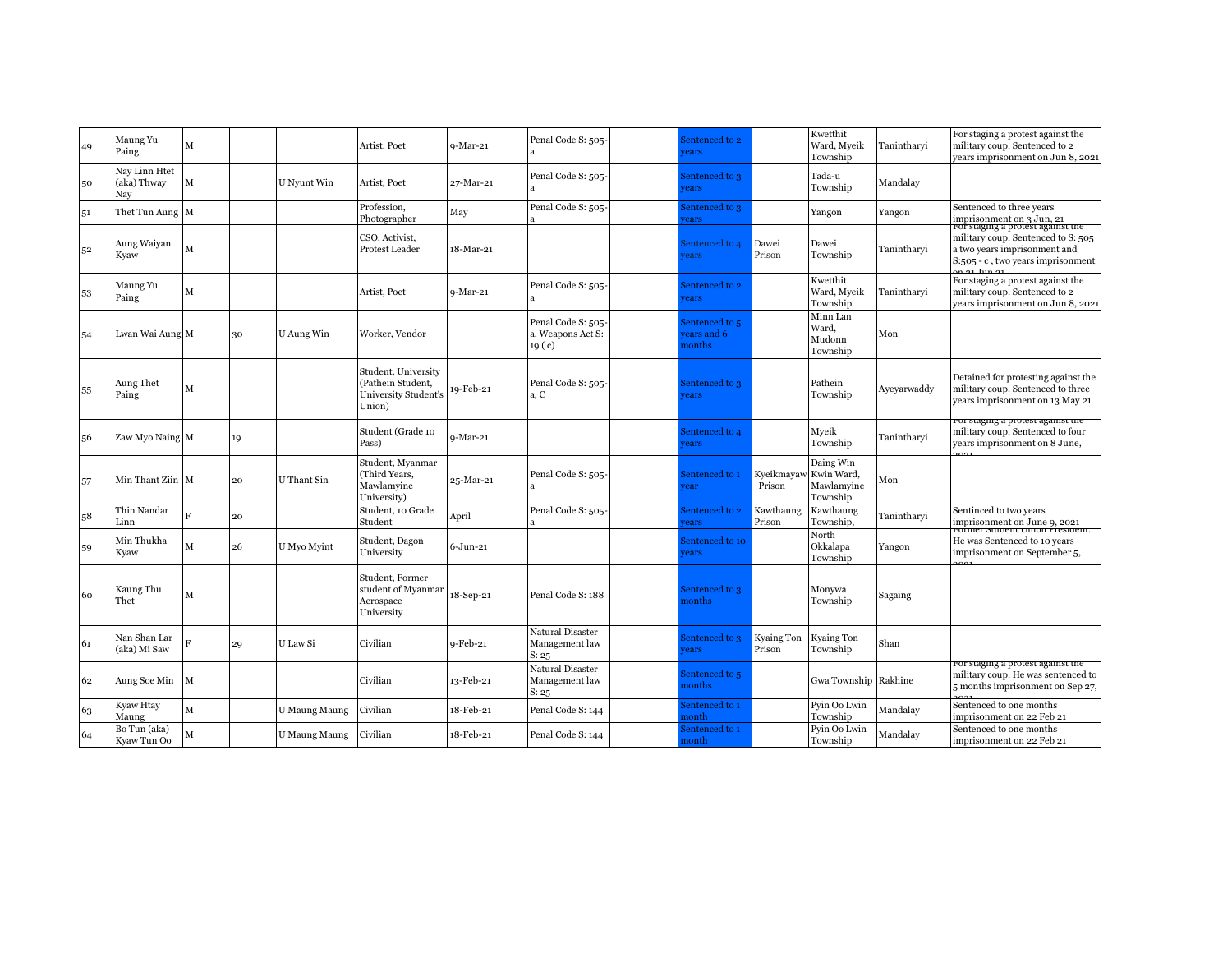| 49 | Maung Yu<br>Paing                   | М           |    |               | Artist, Poet                                                               | $9-Mar-21$   | Penal Code S: 505-                                           | Sentenced to 2<br>ears                 |                      | Kwetthit<br>Ward, Myeik<br>Township               | Tanintharyi | For staging a protest against the<br>military coup. Sentenced to 2<br>vears imprisonment on Jun 8, 2021                                      |
|----|-------------------------------------|-------------|----|---------------|----------------------------------------------------------------------------|--------------|--------------------------------------------------------------|----------------------------------------|----------------------|---------------------------------------------------|-------------|----------------------------------------------------------------------------------------------------------------------------------------------|
| 50 | Nay Linn Htet<br>(aka) Thway<br>Nay | M           |    | U Nyunt Win   | Artist, Poet                                                               | 27-Mar-21    | Penal Code S: 505-                                           | Sentenced to 3<br>ears                 |                      | Tada-u<br>Township                                | Mandalay    |                                                                                                                                              |
| 51 | Thet Tun Aung M                     |             |    |               | Profession,<br>Photographer                                                | May          | Penal Code S: 505-                                           | sentenced to 3<br>ears                 |                      | Yangon                                            | Yangon      | Sentenced to three years<br>imprisonment on 3 Jun, 21                                                                                        |
| 52 | Aung Waiyan<br>Kyaw                 | М           |    |               | CSO, Activist,<br>Protest Leader                                           | 18-Mar-21    |                                                              | sentenced to 4<br>ears                 | Dawei<br>Prison      | Dawei<br>Township                                 | Tanintharvi | ror staging a protest against the<br>military coup. Sentenced to S: 505<br>a two years imprisonment and<br>S:505 - c, two years imprisonment |
| 53 | Maung Yu<br>Paing                   | м           |    |               | Artist, Poet                                                               | $9-Mar-21$   | Penal Code S: 505-                                           | sentenced to 2<br><b>rears</b>         |                      | Kwetthit<br>Ward, Myeik<br>Township               | Tanintharyi | For staging a protest against the<br>military coup. Sentenced to 2<br>vears imprisonment on Jun 8, 2021                                      |
| 54 | Lwan Wai Aung M                     |             | 30 | U Aung Win    | Worker, Vendor                                                             |              | Penal Code S: 505-<br>a, Weapons Act S:<br>19 <sub>(c)</sub> | Sentenced to 5<br>ears and 6<br>nonths |                      | Minn Lan<br>Ward.<br>Mudonn<br>Township           | Mon         |                                                                                                                                              |
| 55 | Aung Thet<br>Paing                  | м           |    |               | Student, University<br>(Pathein Student,<br>University Student's<br>Union) | 19-Feb-21    | Penal Code S: 505-<br>a, C                                   | Sentenced to 3<br>ears                 |                      | Pathein<br>Township                               | Avevarwaddy | Detained for protesting against the<br>military coup. Sentenced to three<br>years imprisonment on 13 May 21                                  |
| 56 | Zaw Myo Naing M                     |             | 19 |               | Student (Grade 10<br>Pass)                                                 | $9-Mar-21$   |                                                              | sentenced to 4<br><b>rears</b>         |                      | Myeik<br>Township                                 | Tanintharyi | ror staging a protest against the<br>military coup. Sentenced to four<br>years imprisonment on 8 June,                                       |
| 57 | Min Thant Ziin M                    |             | 20 | U Thant Sin   | Student, Myanmar<br>(Third Years,<br>Mawlamyine<br>University)             | 25-Mar-21    | Penal Code S: 505-                                           | Sentenced to 1<br>ear                  | Kyeikmayav<br>Prison | Daing Win<br>Kwin Ward,<br>Mawlamyine<br>Township | Mon         |                                                                                                                                              |
| 58 | Thin Nandar<br>Linn                 | R           | 20 |               | Student, 10 Grade<br>Student                                               | April        | Penal Code S: 505-                                           | sentenced to 2<br>ears                 | Kawthaung<br>Prison  | Kawthaung<br>Township,                            | Tanintharvi | Sentinced to two years<br>imprisonment on June 9, 2021<br>rotmer student Union Fresident.                                                    |
| 59 | Min Thukha<br>Kyaw                  | м           | 26 | U Myo Myint   | Student, Dagon<br>University                                               | $6 - Jun-21$ |                                                              | entenced to 10<br><b>rears</b>         |                      | North<br>Okkalapa<br>Township                     | Yangon      | He was Sentenced to 10 years<br>imprisonment on September 5,                                                                                 |
| 60 | Kaung Thu<br>Thet                   | M           |    |               | Student, Former<br>student of Myanmar<br>Aerospace<br>University           | 18-Sep-21    | Penal Code S: 188                                            | Sentenced to 3<br>nonths               |                      | Monywa<br>Township                                | Sagaing     |                                                                                                                                              |
| 61 | Nan Shan Lar<br>(aka) Mi Saw        |             | 29 | U Law Si      | Civilian                                                                   | $9-Feb-21$   | Natural Disaster<br>Management law<br>S: 25                  | Sentenced to 3<br><b>rears</b>         | Kyaing Ton<br>Prison | <b>Kyaing Ton</b><br>Township                     | Shan        |                                                                                                                                              |
| 62 | Aung Soe Min                        | M           |    |               | Civilian                                                                   | 13-Feb-21    | Natural Disaster<br>Management law<br>S: 25                  | Sentenced to 5<br>nonths               |                      | Gwa Township                                      | Rakhine     | roi staging a protest against the<br>military coup. He was sentenced to<br>5 months imprisonment on Sep 27,                                  |
| 63 | Kyaw Htay<br>Maung                  | M           |    | U Maung Maung | Civilian                                                                   | 18-Feb-21    | Penal Code S: 144                                            | Sentenced to 1<br>nonth                |                      | Pyin Oo Lwin<br>Township                          | Mandalay    | Sentenced to one months<br>imprisonment on 22 Feb 21                                                                                         |
| 64 | Bo Tun (aka)<br>Kyaw Tun Oo         | $\mathbf M$ |    | U Maung Maung | Civilian                                                                   | 18-Feb-21    | Penal Code S: 144                                            | Sentenced to 1<br>month                |                      | Pyin Oo Lwin<br>Township                          | Mandalay    | Sentenced to one months<br>imprisonment on 22 Feb 21                                                                                         |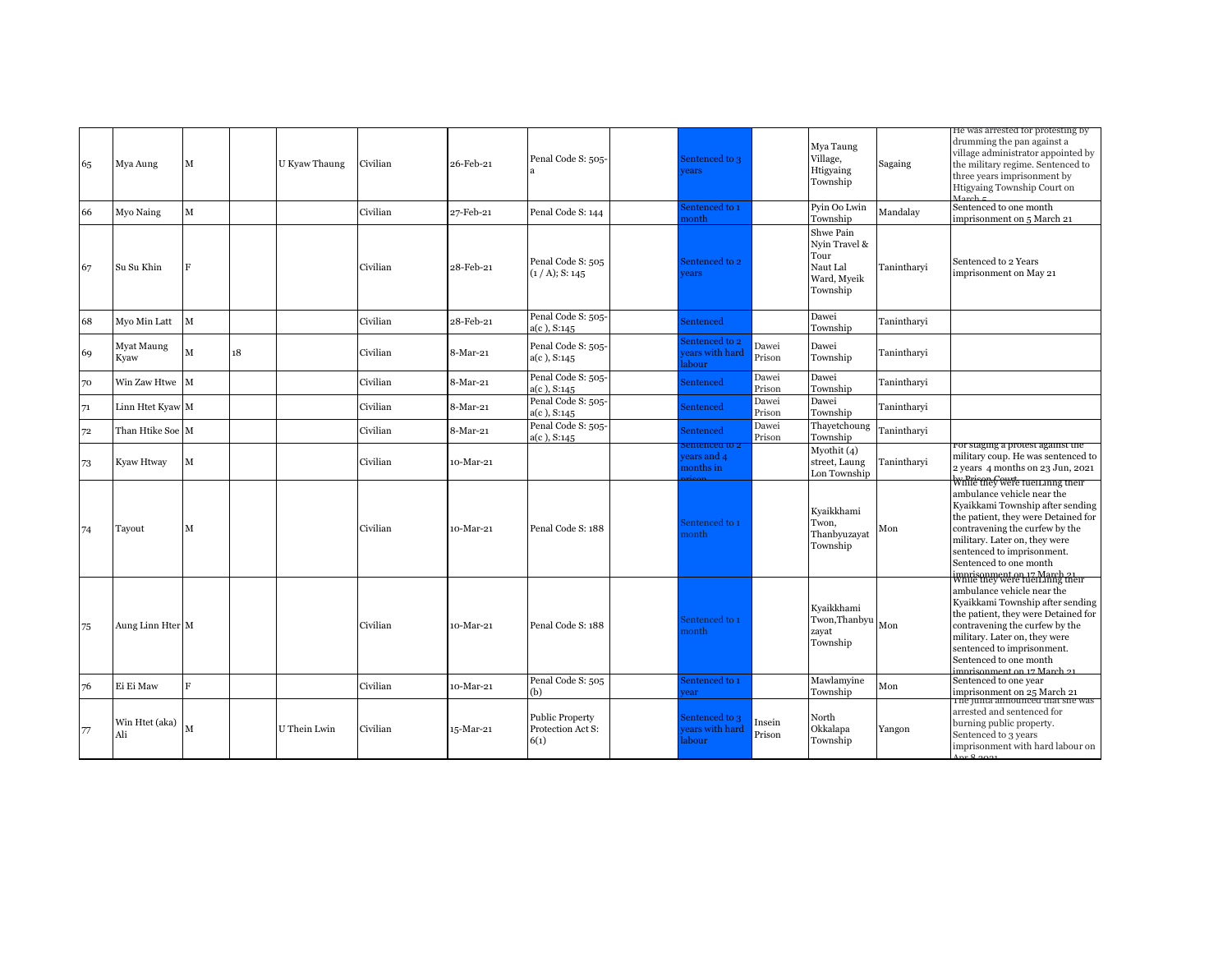| 65 | Mya Aung              | M |    | U Kyaw Thaung | Civilian | 26-Feb-21  | Penal Code S: 505-                                  | Sentenced to 3<br>ears                    |                  | Mya Taung<br>Village,<br>Htigyaing<br>Township                            | Sagaing     | He was arrested for protesting by<br>drumming the pan against a<br>village administrator appointed by<br>the military regime. Sentenced to<br>three years imprisonment by<br>Htigyaing Township Court on<br>$M$ arch $\varepsilon$                                                                                                    |
|----|-----------------------|---|----|---------------|----------|------------|-----------------------------------------------------|-------------------------------------------|------------------|---------------------------------------------------------------------------|-------------|---------------------------------------------------------------------------------------------------------------------------------------------------------------------------------------------------------------------------------------------------------------------------------------------------------------------------------------|
| 66 | Myo Naing             | M |    |               | Civilian | 27-Feb-21  | Penal Code S: 144                                   | Sentenced to 1<br>nonth                   |                  | Pyin Oo Lwin<br>Township                                                  | Mandalay    | Sentenced to one month<br>imprisonment on 5 March 21                                                                                                                                                                                                                                                                                  |
| 67 | Su Su Khin            | F |    |               | Civilian | 28-Feb-21  | Penal Code S: 505<br>(1 / A); S: 145                | Sentenced to 2<br>rears                   |                  | Shwe Pain<br>Nvin Travel &<br>Tour<br>Naut Lal<br>Ward, Myeik<br>Township | Tanintharyi | Sentenced to 2 Years<br>imprisonment on May 21                                                                                                                                                                                                                                                                                        |
| 68 | Myo Min Latt          | M |    |               | Civilian | 28-Feb-21  | Penal Code S: 505-<br>a(c), S:145                   | Sentenced                                 |                  | Dawei<br>Township                                                         | Tanintharyi |                                                                                                                                                                                                                                                                                                                                       |
| 69 | Myat Maung<br>Kyaw    | M | 18 |               | Civilian | 8-Mar-21   | Penal Code S: 505-<br>$a(c)$ , S:145                | entenced to 2<br>ears with hard<br>abour  | Dawei<br>Prison  | Dawei<br>Township                                                         | Tanintharvi |                                                                                                                                                                                                                                                                                                                                       |
| 70 | Win Zaw Htwe M        |   |    |               | Civilian | 8-Mar-21   | Penal Code S: 505-<br>$a(c)$ , S:145                | Sentenced                                 | Dawei<br>Prison  | Dawei<br>Township                                                         | Tanintharyi |                                                                                                                                                                                                                                                                                                                                       |
| 71 | Linn Htet Kyaw M      |   |    |               | Civilian | 8-Mar-21   | Penal Code S: 505-<br>$a(c)$ , S:145                | Sentenced                                 | Dawei<br>Prison  | Dawei<br>Township                                                         | Tanintharvi |                                                                                                                                                                                                                                                                                                                                       |
| 72 | Than Htike Soe M      |   |    |               | Civilian | $8-Mar-21$ | Penal Code S: 505-<br>$a(c)$ , S:145                | Sentenced                                 | Dawei<br>Prison  | Thayetchoung<br>Township                                                  | Tanintharvi |                                                                                                                                                                                                                                                                                                                                       |
| 73 | Kyaw Htway            | M |    |               | Civilian | 10-Mar-21  |                                                     | encea to :<br>rears and 4<br>months in    |                  | Myothit $(4)$<br>street, Laung<br>Lon Township                            | Tanintharyi | ror staging a protest against the<br>military coup. He was sentenced to<br>2 years 4 months on 23 Jun, 2021                                                                                                                                                                                                                           |
| 74 | Tayout                | М |    |               | Civilian | 10-Mar-21  | Penal Code S: 188                                   | Sentenced to 1<br>nonth                   |                  | Kyaikkhami<br>Twon,<br>Thanbyuzayat<br>Township                           | Mon         | While they were fuelLinng their<br>ambulance vehicle near the<br>Kyaikkami Township after sending<br>the patient, they were Detained for<br>contravening the curfew by the<br>military. Later on, they were<br>sentenced to imprisonment.<br>Sentenced to one month<br>imprisonment on 17 March 21<br>While they were fuelLinng their |
| 75 | Aung Linn Hter M      |   |    |               | Civilian | 10-Mar-21  | Penal Code S: 188                                   | entenced to 1<br>nonth                    |                  | Kyaikkhami<br>Twon, Thanbyu<br>zayat<br>Township                          | Mon         | ambulance vehicle near the<br>Kyaikkami Township after sending<br>the patient, they were Detained for<br>contravening the curfew by the<br>military. Later on, they were<br>sentenced to imprisonment.<br>Sentenced to one month<br>imprisonment on 17 March 91                                                                       |
| 76 | Ei Ei Maw             | F |    |               | Civilian | 10-Mar-21  | Penal Code S: 505<br>(b)                            | Sentenced to 1<br>ear                     |                  | Mawlamyine<br>Township                                                    | Mon         | Sentenced to one year<br>imprisonment on 25 March 21<br>The junta announced that sne was                                                                                                                                                                                                                                              |
| 77 | Win Htet (aka)<br>Ali |   |    | U Thein Lwin  | Civilian | 15-Mar-21  | <b>Public Property</b><br>Protection Act S:<br>6(1) | Sentenced to 3<br>ears with hard<br>abour | Insein<br>Prison | North<br>Okkalapa<br>Township                                             | Yangon      | arrested and sentenced for<br>burning public property.<br>Sentenced to 3 years<br>imprisonment with hard labour on<br>0.0001                                                                                                                                                                                                          |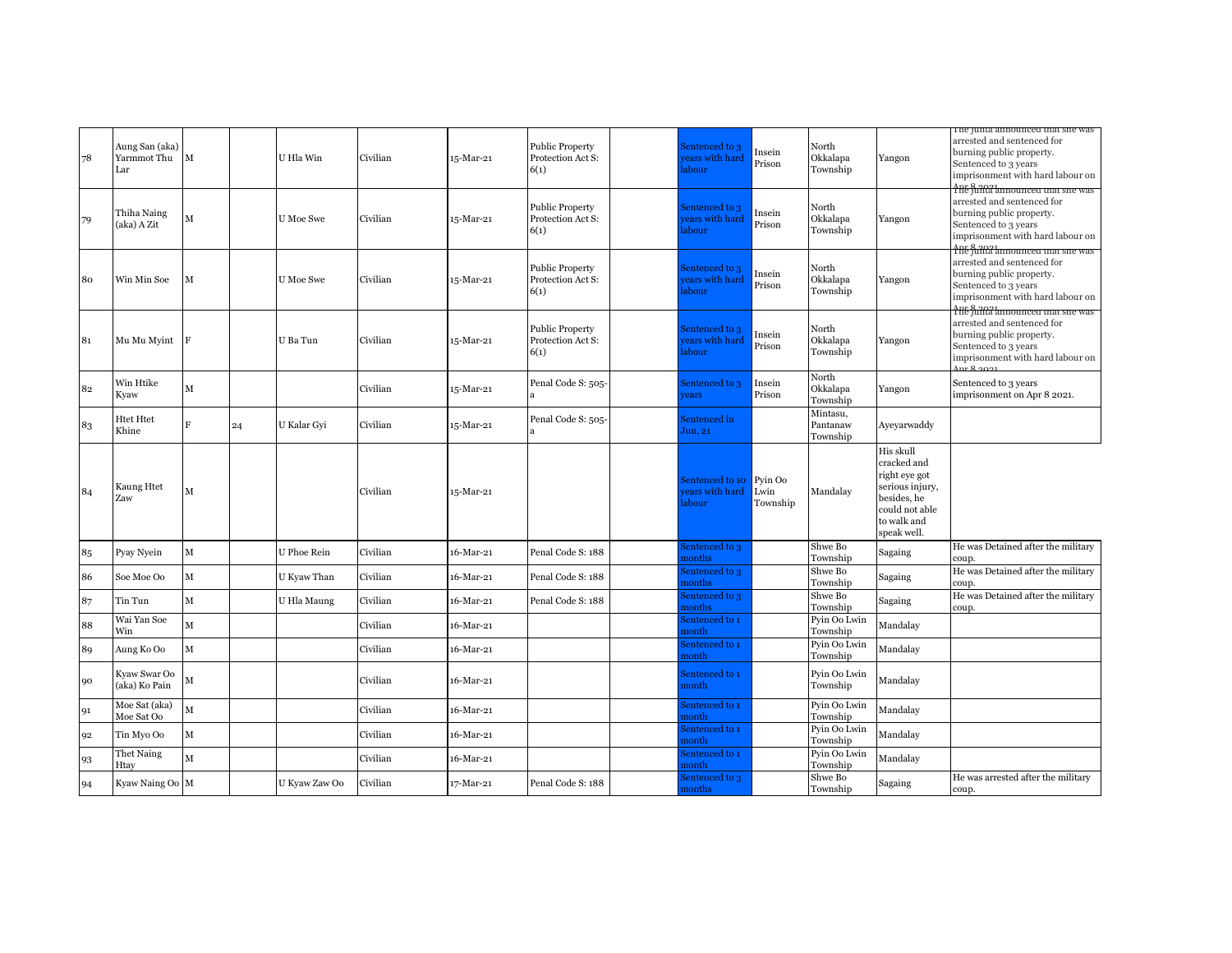| 78 | Aung San (aka)<br>Yarmmot Thu<br>Lar | $\mathbf M$  |    | U Hla Win        | Civilian | 15-Mar-21 | <b>Public Property</b><br>Protection Act S:<br>6(1) | sentenced to 3<br>ears with hard<br>abour | nsein<br>Prison             | North<br>Okkalapa<br>Township    | Yangon                                                                                                                      | i ne junta announced that she was<br>arrested and sentenced for<br>burning public property.<br>Sentenced to 3 years<br>imprisonment with hard labour on<br>The funda announced that she was |
|----|--------------------------------------|--------------|----|------------------|----------|-----------|-----------------------------------------------------|-------------------------------------------|-----------------------------|----------------------------------|-----------------------------------------------------------------------------------------------------------------------------|---------------------------------------------------------------------------------------------------------------------------------------------------------------------------------------------|
| 79 | Thiha Naing<br>(aka) A Zit           | M            |    | <b>U</b> Moe Swe | Civilian | 15-Mar-21 | <b>Public Property</b><br>Protection Act S:<br>6(1) | sentenced to 3<br>ears with hard<br>abour | nsein<br>Prison             | North<br>Okkalapa<br>Township    | Yangon                                                                                                                      | arrested and sentenced for<br>burning public property.<br>Sentenced to 3 years<br>imprisonment with hard labour on                                                                          |
| 80 | Win Min Soe                          | М            |    | <b>U</b> Moe Swe | Civilian | 15-Mar-21 | Public Property<br>Protection Act S:<br>6(1)        | sentenced to 3<br>ears with hard<br>abour | Insein<br>Prison            | North<br>Okkalapa<br>Township    | Yangon                                                                                                                      | <b>The funta announced that she was</b><br>arrested and sentenced for<br>burning public property.<br>Sentenced to 3 years<br>imprisonment with hard labour on                               |
| 81 | Mu Mu Myint                          | F            |    | U Ba Tun         | Civilian | 15-Mar-21 | <b>Public Property</b><br>Protection Act S:<br>6(1) | sentenced to 3<br>ears with hard<br>abour | Insein<br>Prison            | North<br>Okkalapa<br>Township    | Yangon                                                                                                                      | The funta announced that she was<br>arrested and sentenced for<br>burning public property.<br>Sentenced to 3 years<br>imprisonment with hard labour on                                      |
| 82 | Win Htike<br>Kyaw                    | $\mathbf{M}$ |    |                  | Civilian | 15-Mar-21 | Penal Code S: 505-                                  | Sentenced to 3<br>rears                   | Insein<br>Prison            | North<br>Okkalapa<br>Township    | Yangon                                                                                                                      | Sentenced to 3 years<br>imprisonment on Apr 8 2021.                                                                                                                                         |
| 83 | Htet Htet<br>Khine                   | F            | 24 | U Kalar Gyi      | Civilian | 15-Mar-21 | Penal Code S: 505-                                  | sentenced in<br>Jun, 21                   |                             | Mintasu,<br>Pantanaw<br>Township | Ayeyarwaddy                                                                                                                 |                                                                                                                                                                                             |
| 84 | Kaung Htet<br>Zaw                    | М            |    |                  | Civilian | 15-Mar-21 |                                                     | entenced to 10<br>ears with hard<br>abour | Pyin Oo<br>Lwin<br>Township | Mandalay                         | His skull<br>cracked and<br>right eye got<br>serious injury,<br>besides, he<br>could not able<br>to walk and<br>speak well. |                                                                                                                                                                                             |
| 85 | Pyay Nyein                           | $\mathbf M$  |    | U Phoe Rein      | Civilian | 16-Mar-21 | Penal Code S: 188                                   | entenced to 3<br><b>nonths</b>            |                             | Shwe Bo<br>Township              | Sagaing                                                                                                                     | He was Detained after the military<br>coup.                                                                                                                                                 |
| 86 | Soe Moe Oo                           | $\mathbf M$  |    | U Kyaw Than      | Civilian | 16-Mar-21 | Penal Code S: 188                                   | entenced to 3<br>nonths                   |                             | Shwe Bo<br>Township              | Sagaing                                                                                                                     | He was Detained after the military<br>coup.                                                                                                                                                 |
| 87 | Tin Tun                              | $\mathbf{M}$ |    | U Hla Maung      | Civilian | 16-Mar-21 | Penal Code S: 188                                   | entenced to 3<br>nonths                   |                             | Shwe Bo<br>Township              | Sagaing                                                                                                                     | He was Detained after the military<br>coup.                                                                                                                                                 |
| 88 | Wai Yan Soe<br>Win                   | $\mathbf{M}$ |    |                  | Civilian | 16-Mar-21 |                                                     | entenced to 1<br>nonth                    |                             | Pyin Oo Lwin<br>Township         | Mandalay                                                                                                                    |                                                                                                                                                                                             |
| 89 | Aung Ko Oo                           | $\mathbf M$  |    |                  | Civilian | 16-Mar-21 |                                                     | entenced to 1<br>nonth                    |                             | Pyin Oo Lwin<br>Township         | Mandalay                                                                                                                    |                                                                                                                                                                                             |
| 90 | Kyaw Swar Oo<br>(aka) Ko Pain        | М            |    |                  | Civilian | 16-Mar-21 |                                                     | entenced to 1<br>nonth                    |                             | Pyin Oo Lwin<br>Township         | Mandalay                                                                                                                    |                                                                                                                                                                                             |
| 91 | Moe Sat (aka)<br>Moe Sat Oo          | M            |    |                  | Civilian | 16-Mar-21 |                                                     | Sentenced to 1<br>nonth                   |                             | Pyin Oo Lwin<br>Township         | Mandalay                                                                                                                    |                                                                                                                                                                                             |
| 92 | Tin Myo Oo                           | $\mathbf M$  |    |                  | Civilian | 16-Mar-21 |                                                     | entenced to 1<br>nonth                    |                             | Pyin Oo Lwin<br>Township         | Mandalay                                                                                                                    |                                                                                                                                                                                             |
| 93 | Thet Naing<br>Htav                   | M            |    |                  | Civilian | 16-Mar-21 |                                                     | entenced to 1<br>ionth                    |                             | Pyin Oo Lwin<br>Township         | Mandalay                                                                                                                    |                                                                                                                                                                                             |
| 94 | Kyaw Naing Oo M                      |              |    | U Kyaw Zaw Oo    | Civilian | 17-Mar-21 | Penal Code S: 188                                   | entenced to 3<br>nonths                   |                             | Shwe Bo<br>Township              | Sagaing                                                                                                                     | He was arrested after the military<br>coup.                                                                                                                                                 |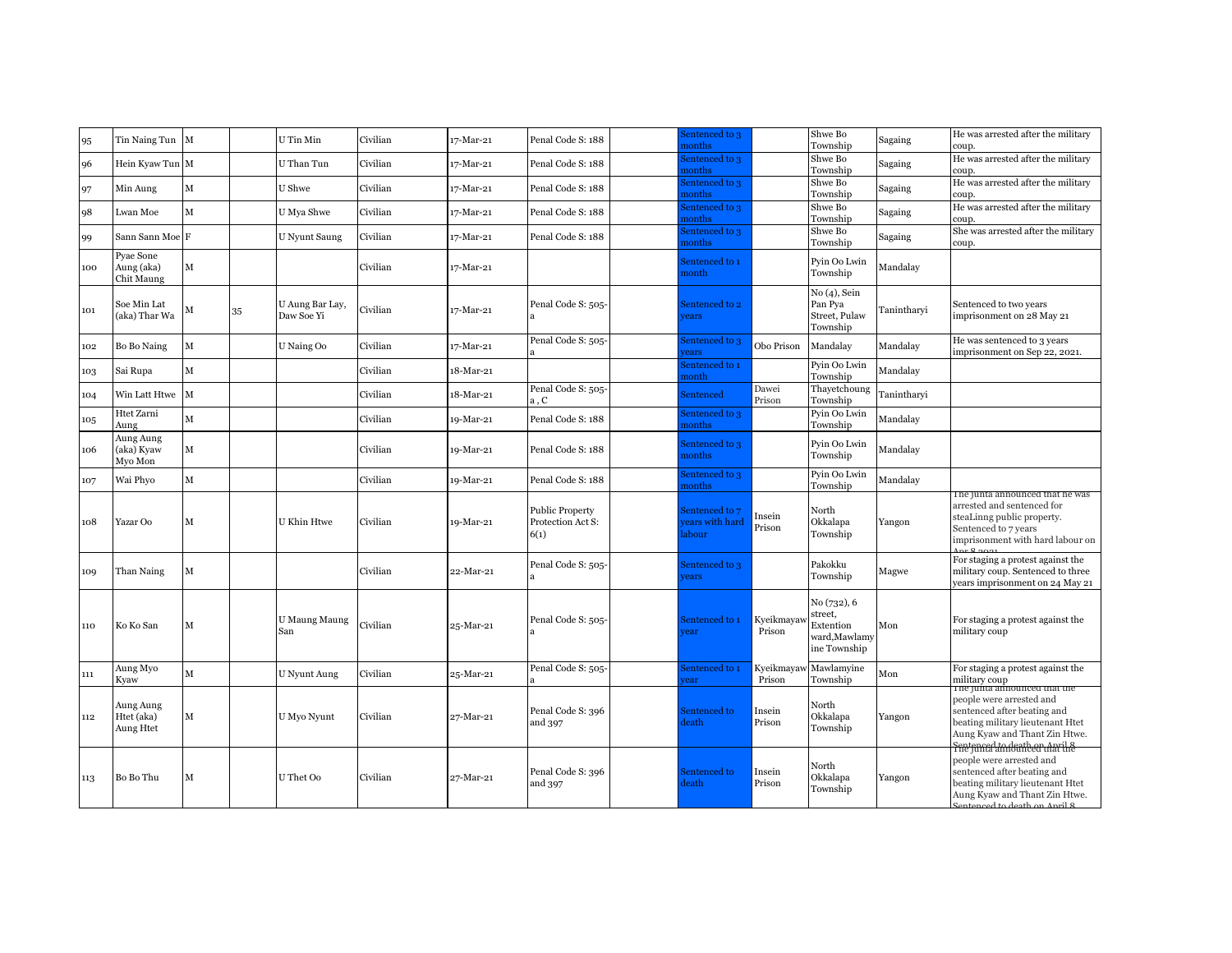|     |                                       |             |    |                               |          |           |                                                     | sentenced to 3                            |                      | Shwe Bo                                                             |             | He was arrested after the military                                                                                                                                            |
|-----|---------------------------------------|-------------|----|-------------------------------|----------|-----------|-----------------------------------------------------|-------------------------------------------|----------------------|---------------------------------------------------------------------|-------------|-------------------------------------------------------------------------------------------------------------------------------------------------------------------------------|
| 95  | Tin Naing Tun M                       |             |    | U Tin Min                     | Civilian | 17-Mar-21 | Penal Code S: 188                                   | nonths                                    |                      | Township                                                            | Sagaing     | coup.                                                                                                                                                                         |
| 96  | Hein Kyaw Tun M                       |             |    | U Than Tun                    | Civilian | 17-Mar-21 | Penal Code S: 188                                   | entenced to 3<br>nonths                   |                      | Shwe Bo<br>Township                                                 | Sagaing     | He was arrested after the military<br>coup.                                                                                                                                   |
| 97  | Min Aung                              | $\mathbf M$ |    | U Shwe                        | Civilian | 17-Mar-21 | Penal Code S: 188                                   | sentenced to 3<br>nonths                  |                      | Shwe Bo<br>Township                                                 | Sagaing     | He was arrested after the military<br>coup.                                                                                                                                   |
| 98  | Lwan Moe                              | M           |    | U Mya Shwe                    | Civilian | 17-Mar-21 | Penal Code S: 188                                   | sentenced to 3<br>nonths                  |                      | Shwe Bo<br>Township                                                 | Sagaing     | He was arrested after the military<br>coup.                                                                                                                                   |
| 99  | Sann Sann Moe F                       |             |    | <b>U</b> Nyunt Saung          | Civilian | 17-Mar-21 | Penal Code S: 188                                   | entenced to 3<br>nonths                   |                      | Shwe Bo<br>Township                                                 | Sagaing     | She was arrested after the military<br>coup.                                                                                                                                  |
| 100 | Pyae Sone<br>Aung (aka)<br>Chit Maung | M           |    |                               | Civilian | 17-Mar-21 |                                                     | entenced to 1<br>nonth                    |                      | Pyin Oo Lwin<br>Township                                            | Mandalay    |                                                                                                                                                                               |
| 101 | Soe Min Lat<br>(aka) Thar Wa          | м           | 35 | U Aung Bar Lay,<br>Daw Soe Yi | Civilian | 17-Mar-21 | Penal Code S: 505-                                  | Sentenced to 2<br>ears                    |                      | No (4), Sein<br>Pan Pya<br>Street, Pulaw<br>Township                | Tanintharvi | Sentenced to two years<br>imprisonment on 28 May 21                                                                                                                           |
| 102 | Bo Bo Naing                           | $\mathbf M$ |    | U Naing Oo                    | Civilian | 17-Mar-21 | Penal Code S: 505-                                  | sentenced to 3<br>ears                    | Obo Prison           | Mandalay                                                            | Mandalav    | He was sentenced to 3 years<br>imprisonment on Sep 22, 2021.                                                                                                                  |
| 103 | Sai Rupa                              | $\mathbf M$ |    |                               | Civilian | 18-Mar-21 |                                                     | entenced to 1<br>nonth                    |                      | Pyin Oo Lwin<br>Township                                            | Mandalay    |                                                                                                                                                                               |
| 104 | Win Latt Htwe                         | $\mathbf M$ |    |                               | Civilian | 18-Mar-21 | Penal Code S: 505-<br>a, C                          | <b>Sentenced</b>                          | Dawei<br>Prison      | Thayetchoung<br>Township                                            | Tanintharyi |                                                                                                                                                                               |
| 105 | Htet Zarni<br>Aung                    | M           |    |                               | Civilian | 19-Mar-21 | Penal Code S: 188                                   | sentenced to 3<br>nonths                  |                      | Pyin Oo Lwin<br>Township                                            | Mandalay    |                                                                                                                                                                               |
| 106 | Aung Aung<br>(aka) Kyaw<br>Myo Mon    | M           |    |                               | Civilian | 19-Mar-21 | Penal Code S: 188                                   | Sentenced to 3<br>nonths                  |                      | Pyin Oo Lwin<br>Township                                            | Mandalay    |                                                                                                                                                                               |
| 107 | Wai Phyo                              | $\mathbf M$ |    |                               | Civilian | 19-Mar-21 | Penal Code S: 188                                   | entenced to 3<br>nonths                   |                      | Pyin Oo Lwin<br>Township                                            | Mandalay    |                                                                                                                                                                               |
| 108 | Yazar Oo                              | M           |    | U Khin Htwe                   | Civilian | 19-Mar-21 | <b>Public Property</b><br>Protection Act S:<br>6(1) | Sentenced to 7<br>ears with hard<br>abour | Insein<br>Prison     | North<br>Okkalapa<br>Township                                       | Yangon      | i ne junta announced that ne was<br>arrested and sentenced for<br>steaLinng public property.<br>Sentenced to 7 years<br>imprisonment with hard labour on                      |
| 109 | Than Naing                            | $\mathbf M$ |    |                               | Civilian | 22-Mar-21 | Penal Code S: 505-                                  | Sentenced to 3<br>rears                   |                      | Pakokku<br>Township                                                 | Magwe       | For staging a protest against the<br>military coup. Sentenced to three<br>years imprisonment on 24 May 21                                                                     |
| 110 | Ko Ko San                             | М           |    | <b>U Maung Maung</b><br>San   | Civilian | 25-Mar-21 | Penal Code S: 505-                                  | Sentenced to 1<br>rear                    | Kyeikmayay<br>Prison | No (732), 6<br>street,<br>Extention<br>ward,Mawlamy<br>ine Township | Mon         | For staging a protest against the<br>military coup                                                                                                                            |
| 111 | Aung Myo<br>Kyaw                      | $\mathbf M$ |    | <b>U</b> Nyunt Aung           | Civilian | 25-Mar-21 | Penal Code S: 505-                                  | Sentenced to 1<br>ear                     | Kyeikmayay<br>Prison | Mawlamyine<br>Township                                              | Mon         | For staging a protest against the<br>military coup<br>The junta announced that the                                                                                            |
| 112 | Aung Aung<br>Htet (aka)<br>Aung Htet  | м           |    | U Myo Nyunt                   | Civilian | 27-Mar-21 | Penal Code S: 396<br>and 397                        | Sentenced to<br>leath                     | Insein<br>Prison     | North<br>Okkalapa<br>Township                                       | Yangon      | people were arrested and<br>sentenced after beating and<br>beating military lieutenant Htet<br>Aung Kyaw and Thant Zin Htwe.<br><del>Fnet junnal am dont bear chari the</del> |
| 113 | Bo Bo Thu                             | М           |    | U Thet Oo                     | Civilian | 27-Mar-21 | Penal Code S: 396<br>and 397                        | Sentenced to<br><b>leath</b>              | Insein<br>Prison     | North<br>Okkalapa<br>Township                                       | Yangon      | people were arrested and<br>sentenced after beating and<br>beating military lieutenant Htet<br>Aung Kyaw and Thant Zin Htwe.<br>ato dooth on                                  |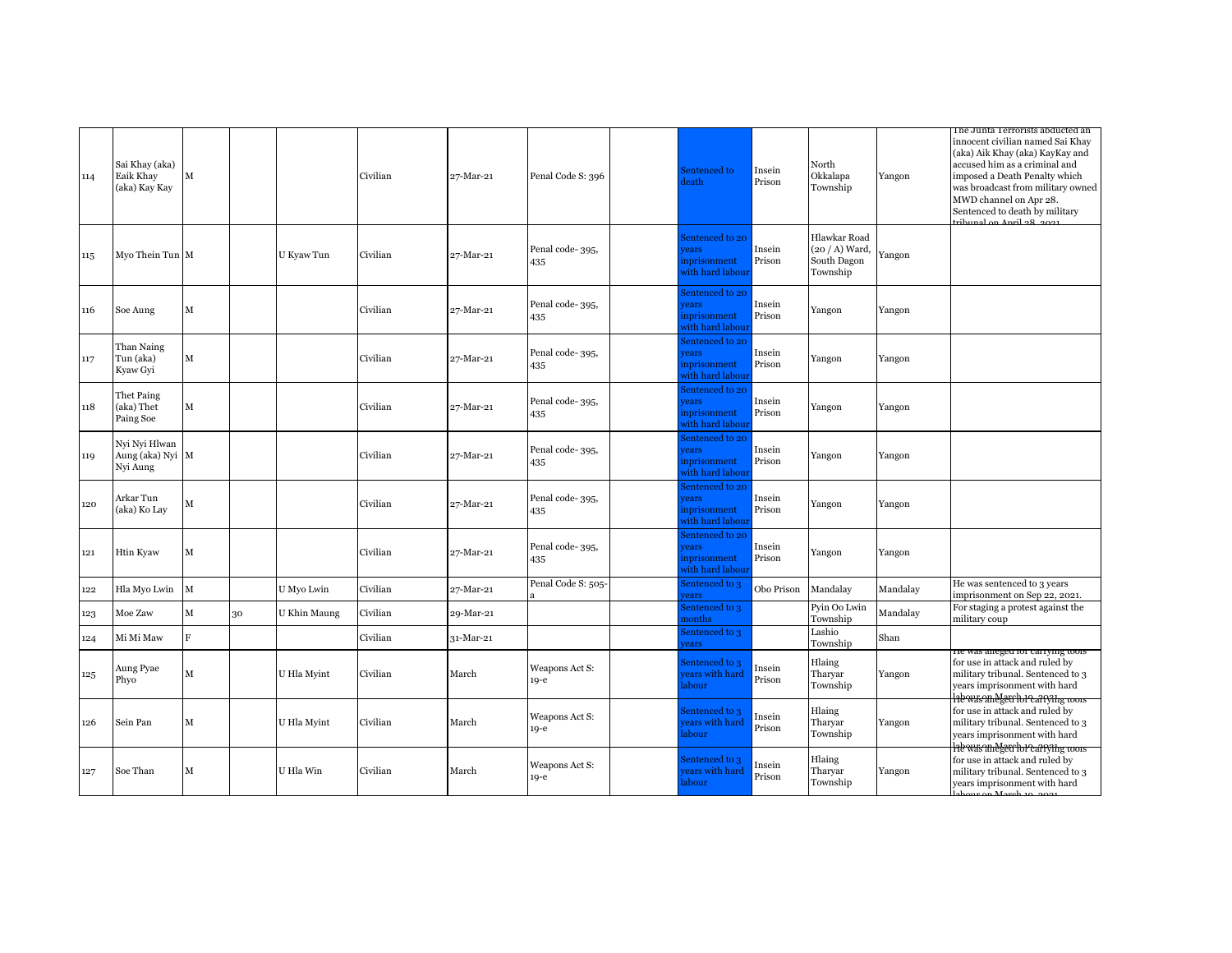| 114 | Sai Khay (aka)<br>Eaik Khay<br>(aka) Kay Kay  | $\mathbf M$ |    |              | Civilian | 27-Mar-21 | Penal Code S: 396        | entenced to<br>leath                                       | Insein<br>Prison | North<br>Okkalapa<br>Township                               | Yangon   | The Junta Terrorists abducted an<br>innocent civilian named Sai Khay<br>(aka) Aik Khay (aka) KayKay and<br>accused him as a criminal and<br>imposed a Death Penalty which<br>was broadcast from military owned<br>MWD channel on Apr 28.<br>Sentenced to death by military<br>tribunal on April 28, 2021 |
|-----|-----------------------------------------------|-------------|----|--------------|----------|-----------|--------------------------|------------------------------------------------------------|------------------|-------------------------------------------------------------|----------|----------------------------------------------------------------------------------------------------------------------------------------------------------------------------------------------------------------------------------------------------------------------------------------------------------|
| 115 | Myo Thein Tun M                               |             |    | U Kyaw Tun   | Civilian | 27-Mar-21 | Penal code-395,<br>435   | Sentenced to 20<br>ears<br>nprisonment<br>vith hard labour | Insein<br>Prison | Hlawkar Road<br>$(20 / A)$ Ward,<br>South Dagon<br>Township | Yangon   |                                                                                                                                                                                                                                                                                                          |
| 116 | Soe Aung                                      | М           |    |              | Civilian | 27-Mar-21 | Penal code-395,<br>435   | entenced to 20<br>ears<br>nprisonment<br>vith hard labour  | Insein<br>Prison | Yangon                                                      | Yangon   |                                                                                                                                                                                                                                                                                                          |
| 117 | Than Naing<br>Tun (aka)<br>Kyaw Gyi           | M           |    |              | Civilian | 27-Mar-21 | Penal code-395,<br>435   | entenced to 20<br>rears<br>nprisonment<br>vith hard labou: | Insein<br>Prison | Yangon                                                      | Yangon   |                                                                                                                                                                                                                                                                                                          |
| 118 | Thet Paing<br>(aka) Thet<br>Paing Soe         | М           |    |              | Civilian | 27-Mar-21 | Penal code-395,<br>435   | entenced to 20<br>ears<br>nprisonment<br>vith hard labou:  | Insein<br>Prison | Yangon                                                      | Yangon   |                                                                                                                                                                                                                                                                                                          |
| 119 | Nyi Nyi Hlwan<br>Aung (aka) Nyi M<br>Nyi Aung |             |    |              | Civilian | 27-Mar-21 | Penal code-395,<br>435   | entenced to 20<br>ears<br>nprisonment<br>vith hard labou:  | Insein<br>Prison | Yangon                                                      | Yangon   |                                                                                                                                                                                                                                                                                                          |
| 120 | Arkar Tun<br>(aka) Ko Lay                     | М           |    |              | Civilian | 27-Mar-21 | Penal code-395,<br>435   | entenced to 20<br>ears<br>nprisonment<br>vith hard labou:  | Insein<br>Prison | Yangon                                                      | Yangon   |                                                                                                                                                                                                                                                                                                          |
| 121 | Htin Kyaw                                     | М           |    |              | Civilian | 27-Mar-21 | Penal code-395,<br>435   | entenced to 20<br>ears<br>nprisonment<br>vith hard labour  | Insein<br>Prison | Yangon                                                      | Yangon   |                                                                                                                                                                                                                                                                                                          |
| 122 | Hla Myo Lwin                                  | $\mathbf M$ |    | U Myo Lwin   | Civilian | 27-Mar-21 | Penal Code S: 505-       | entenced to 3<br>ears                                      | Obo Prison       | Mandalay                                                    | Mandalay | He was sentenced to 3 years<br>imprisonment on Sep 22, 2021.                                                                                                                                                                                                                                             |
| 123 | Moe Zaw                                       | М           | 30 | U Khin Maung | Civilian | 29-Mar-21 |                          | entenced to 3<br>nonths                                    |                  | Pyin Oo Lwin<br>Township                                    | Mandalay | For staging a protest against the<br>military coup                                                                                                                                                                                                                                                       |
| 124 | Mi Mi Maw                                     | F           |    |              | Civilian | 31-Mar-21 |                          | entenced to 3<br>ears                                      |                  | Lashio<br>Township                                          | Shan     |                                                                                                                                                                                                                                                                                                          |
| 125 | Aung Pyae<br>Phyo                             | м           |    | U Hla Myint  | Civilian | March     | Weapons Act S:<br>19-е   | entenced to 3<br>ears with hard<br>labour                  | Insein<br>Prison | Hlaing<br>Tharyar<br>Township                               | Yangon   | He was aneged for carrying tools<br>for use in attack and ruled by<br>military tribunal. Sentenced to 3<br>years imprisonment with hard                                                                                                                                                                  |
| 126 | Sein Pan                                      | М           |    | U Hla Myint  | Civilian | March     | Weapons Act S:<br>$19-e$ | Sentenced to 3<br>ears with hard<br>abour                  | Insein<br>Prison | Hlaing<br>Tharvar<br>Township                               | Yangon   | hewas aneget chorearlying tools<br>for use in attack and ruled by<br>military tribunal. Sentenced to 3<br>years imprisonment with hard<br>hewasanegea horcarrying tools                                                                                                                                  |
| 127 | Soe Than                                      | м           |    | U Hla Win    | Civilian | March     | Weapons Act S:<br>$19-e$ | Sentenced to 3<br>ears with hard<br>labour.                | Insein<br>Prison | Hlaing<br>Tharyar<br>Township                               | Yangon   | for use in attack and ruled by<br>military tribunal. Sentenced to 3<br>years imprisonment with hard                                                                                                                                                                                                      |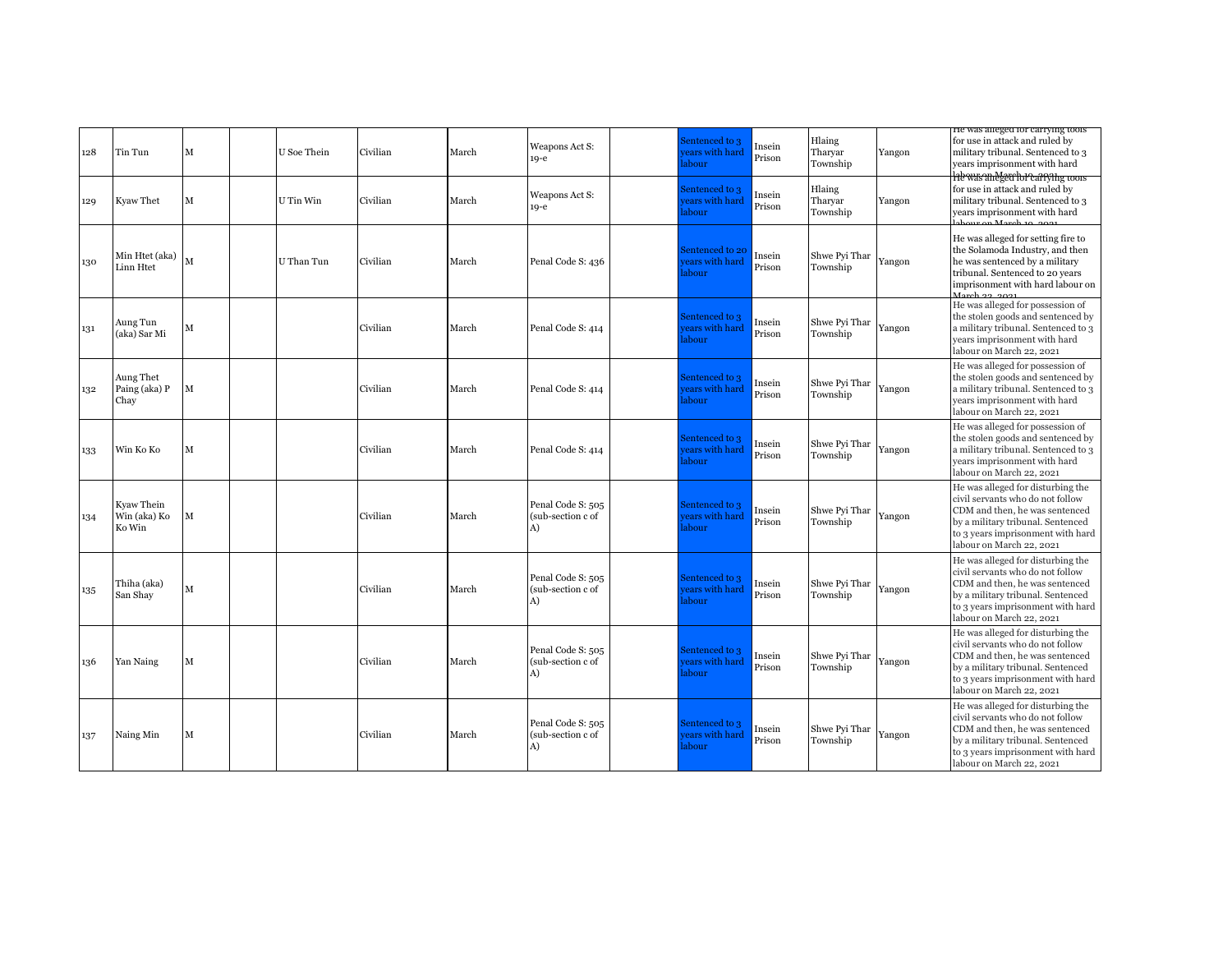| 128 | Tin Tun                              | M | U Soe Thein | Civilian | March | Weapons Act S:<br>$19-e$                     | Sentenced to 3<br>ears with hard<br>abour  | Insein<br>Prison | Hlaing<br>Tharyar<br>Township | Yangon | He was aneged for carrying tools<br>for use in attack and ruled by<br>military tribunal. Sentenced to 3<br>years imprisonment with hard                                                                       |
|-----|--------------------------------------|---|-------------|----------|-------|----------------------------------------------|--------------------------------------------|------------------|-------------------------------|--------|---------------------------------------------------------------------------------------------------------------------------------------------------------------------------------------------------------------|
| 129 | Kyaw Thet                            | M | U Tin Win   | Civilian | March | Weapons Act S:<br>$19-e$                     | Sentenced to 3<br>ears with hard<br>abour  | Insein<br>Prison | Hlaing<br>Tharyar<br>Township | Yangon | <b>Hewas and get hor carrying coors</b><br>for use in attack and ruled by<br>military tribunal. Sentenced to 3<br>years imprisonment with hard                                                                |
| 130 | Min Htet (aka)<br>Linn Htet          |   | U Than Tun  | Civilian | March | Penal Code S: 436                            | Sentenced to 20<br>ears with hard<br>abour | Insein<br>Prison | Shwe Pyi Thar<br>Township     | Yangon | He was alleged for setting fire to<br>the Solamoda Industry, and then<br>he was sentenced by a military<br>tribunal. Sentenced to 20 years<br>imprisonment with hard labour on<br>March ag ana:               |
| 131 | Aung Tun<br>(aka) Sar Mi             | M |             | Civilian | March | Penal Code S: 414                            | Sentenced to 3<br>ears with hard<br>abour  | Insein<br>Prison | Shwe Pyi Thar<br>Township     | Yangon | He was alleged for possession of<br>the stolen goods and sentenced by<br>a military tribunal. Sentenced to 3<br>years imprisonment with hard<br>labour on March 22, 2021                                      |
| 132 | Aung Thet<br>Paing (aka) P<br>Chay   | M |             | Civilian | March | Penal Code S: 414                            | Sentenced to 3<br>ears with hard<br>abour  | Insein<br>Prison | Shwe Pyi Thar<br>Township     | Yangon | He was alleged for possession of<br>the stolen goods and sentenced by<br>a military tribunal. Sentenced to 3<br>years imprisonment with hard<br>labour on March 22, 2021                                      |
| 133 | Win Ko Ko                            | M |             | Civilian | March | Penal Code S: 414                            | Sentenced to 3<br>ears with hard<br>abour  | Insein<br>Prison | Shwe Pyi Thar<br>Township     | Yangon | He was alleged for possession of<br>the stolen goods and sentenced by<br>a military tribunal. Sentenced to 3<br>years imprisonment with hard<br>labour on March 22, 2021                                      |
| 134 | Kyaw Thein<br>Win (aka) Ko<br>Ko Win | M |             | Civilian | March | Penal Code S: 505<br>(sub-section c of<br>A) | Sentenced to 3<br>ears with hard<br>abour  | Insein<br>Prison | Shwe Pyi Thar<br>Township     | Yangon | He was alleged for disturbing the<br>civil servants who do not follow<br>CDM and then, he was sentenced<br>by a military tribunal. Sentenced<br>to 3 years imprisonment with hard<br>labour on March 22, 2021 |
| 135 | Thiha (aka)<br>San Shay              | M |             | Civilian | March | Penal Code S: 505<br>(sub-section c of<br>A) | Sentenced to 3<br>ears with hard<br>abour  | Insein<br>Prison | Shwe Pyi Thar<br>Township     | Yangon | He was alleged for disturbing the<br>civil servants who do not follow<br>CDM and then, he was sentenced<br>by a military tribunal. Sentenced<br>to 3 years imprisonment with hard<br>labour on March 22, 2021 |
| 136 | Yan Naing                            | M |             | Civilian | March | Penal Code S: 505<br>(sub-section c of<br>A) | Sentenced to 3<br>ears with hard<br>abour  | Insein<br>Prison | Shwe Pyi Thar<br>Township     | Yangon | He was alleged for disturbing the<br>civil servants who do not follow<br>CDM and then, he was sentenced<br>by a military tribunal. Sentenced<br>to 3 years imprisonment with hard<br>labour on March 22, 2021 |
| 137 | Naing Min                            | M |             | Civilian | March | Penal Code S: 505<br>(sub-section c of<br>A) | Sentenced to 3<br>ears with hard<br>abour  | Insein<br>Prison | Shwe Pyi Thar<br>Township     | Yangon | He was alleged for disturbing the<br>civil servants who do not follow<br>CDM and then, he was sentenced<br>by a military tribunal. Sentenced<br>to 3 years imprisonment with hard<br>labour on March 22, 2021 |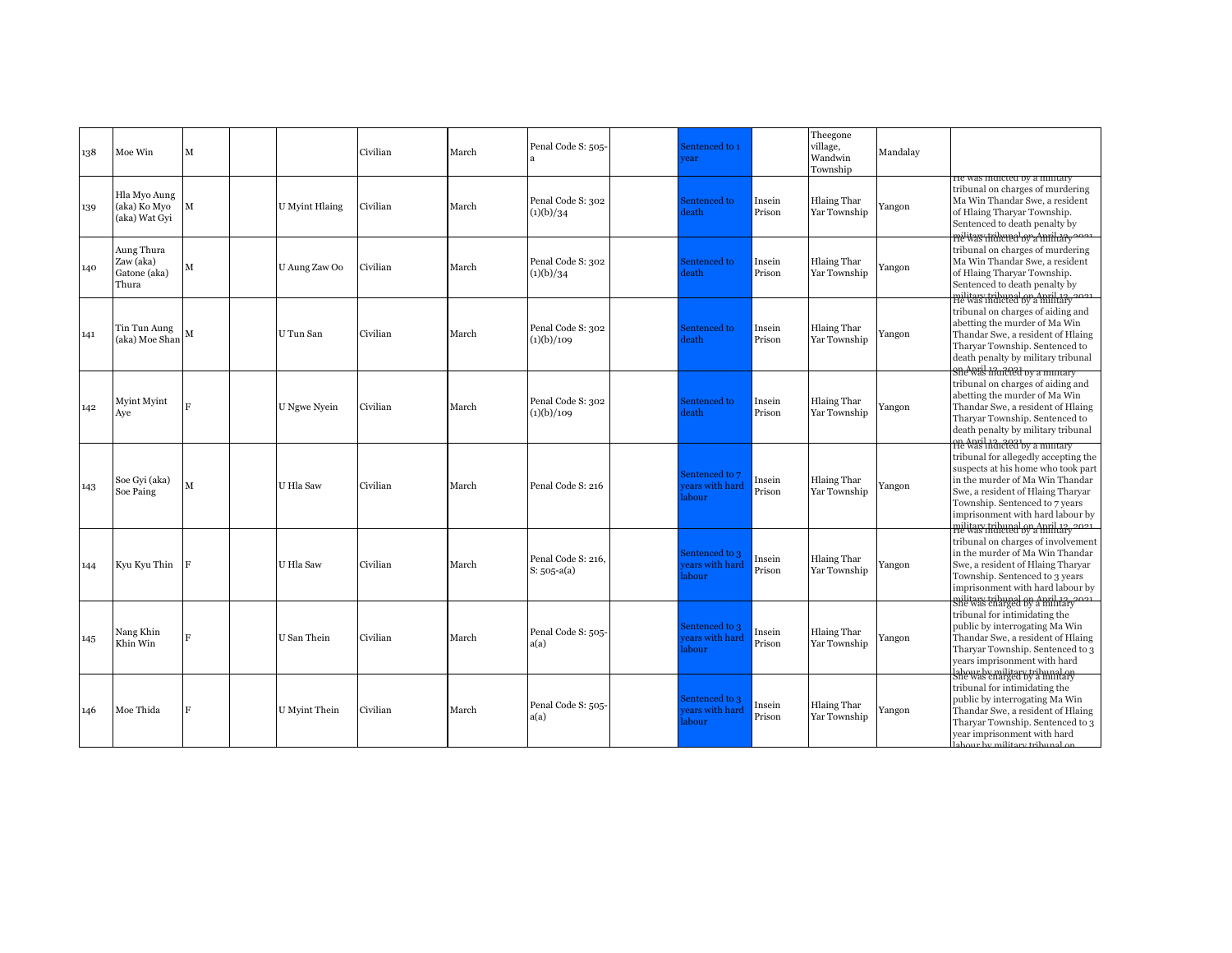| 138 | Moe Win                                          | м              |                       | Civilian | March | Penal Code S: 505-                  | Sentenced to 1<br>rear                    |                  | Theegone<br>village,<br>Wandwin<br>Township | Mandalay |                                                                                                                                                                                                                                                                                                                       |
|-----|--------------------------------------------------|----------------|-----------------------|----------|-------|-------------------------------------|-------------------------------------------|------------------|---------------------------------------------|----------|-----------------------------------------------------------------------------------------------------------------------------------------------------------------------------------------------------------------------------------------------------------------------------------------------------------------------|
| 139 | Hla Myo Aung<br>(aka) Ko Myo<br>(aka) Wat Gyi    | М              | <b>U</b> Myint Hlaing | Civilian | March | Penal Code S: 302<br>(1)(b)/34      | Sentenced to<br>leath                     | Insein<br>Prison | <b>Hlaing Thar</b><br>Yar Township          | Yangon   | He was indicted by a military<br>tribunal on charges of murdering<br>Ma Win Thandar Swe, a resident<br>of Hlaing Tharyar Township.<br>Sentenced to death penalty by<br>melitar indicted by a multar                                                                                                                   |
| 140 | Aung Thura<br>Zaw (aka)<br>Gatone (aka)<br>Thura | М              | U Aung Zaw Oo         | Civilian | March | Penal Code S: 302<br>(1)(b)/34      | Sentenced to<br>leath                     | Insein<br>Prison | <b>Hlaing Thar</b><br>Yar Township          | Yangon   | tribunal on charges of murdering<br>Ma Win Thandar Swe, a resident<br>of Hlaing Tharvar Township.<br>Sentenced to death penalty by<br>He was indicted by a military                                                                                                                                                   |
| 141 | Tin Tun Aung<br>(aka) Moe Shan                   | M              | U Tun San             | Civilian | March | Penal Code S: 302<br>(1)(b)/109     | Sentenced to<br>leath                     | Insein<br>Prison | <b>Hlaing Thar</b><br>Yar Township          | Yangon   | tribunal on charges of aiding and<br>abetting the murder of Ma Win<br>Thandar Swe, a resident of Hlaing<br>Tharvar Township. Sentenced to<br>death penalty by military tribunal<br>She was that cell by a mintary                                                                                                     |
| 142 | Myint Myint<br>Aye                               | $\overline{R}$ | U Ngwe Nyein          | Civilian | March | Penal Code S: 302<br>(1)(b)/109     | Sentenced to<br>leath                     | Insein<br>Prison | <b>Hlaing Thar</b><br>Yar Township          | Yangon   | tribunal on charges of aiding and<br>abetting the murder of Ma Win<br>Thandar Swe, a resident of Hlaing<br>Tharvar Township. Sentenced to<br>death penalty by military tribunal                                                                                                                                       |
| 143 | Soe Gvi (aka)<br>Soe Paing                       | $\mathbf M$    | U Hla Saw             | Civilian | March | Penal Code S: 216                   | Sentenced to 7<br>ears with hard<br>abour | Insein<br>Prison | <b>Hlaing Thar</b><br>Yar Township          | Yangon   | on April 13, 2021<br>He was indicted by a military<br>tribunal for allegedly accepting the<br>suspects at his home who took part<br>in the murder of Ma Win Thandar<br>Swe, a resident of Hlaing Tharyar<br>Township. Sentenced to 7 years<br>imprisonment with hard labour by<br>military tribupal ova mril tay 2021 |
| 144 | Kyu Kyu Thin                                     | F              | U Hla Saw             | Civilian | March | Penal Code S: 216,<br>$S: 505-a(a)$ | Sentenced to 3<br>ears with hard<br>abour | Insein<br>Prison | <b>Hlaing Thar</b><br>Yar Township          | Yangon   | tribunal on charges of involvement<br>in the murder of Ma Win Thandar<br>Swe, a resident of Hlaing Tharyar<br>Township. Sentenced to 3 years<br>imprisonment with hard labour by                                                                                                                                      |
| 145 | Nang Khin<br>Khin Win                            | $\mathbf{F}$   | U San Thein           | Civilian | March | Penal Code S: 505-<br>a(a)          | Sentenced to 3<br>ears with hard<br>abour | Insein<br>Prison | <b>Hlaing Thar</b><br>Yar Township          | Yangon   | military tribunal on April 12, 2021<br>tribunal for intimidating the<br>public by interrogating Ma Win<br>Thandar Swe, a resident of Hlaing<br>Tharyar Township. Sentenced to 3<br>years imprisonment with hard<br>labour by military tribunal on                                                                     |
| 146 | Moe Thida                                        | $\mathbf{F}$   | U Myint Thein         | Civilian | March | Penal Code S: 505-<br>a(a)          | Sentenced to 3<br>ears with hard<br>abour | Insein<br>Prison | <b>Hlaing Thar</b><br>Yar Township          | Yangon   | tribunal for intimidating the<br>public by interrogating Ma Win<br>Thandar Swe, a resident of Hlaing<br>Tharyar Township. Sentenced to 3<br>year imprisonment with hard<br>labour by military tribunal or                                                                                                             |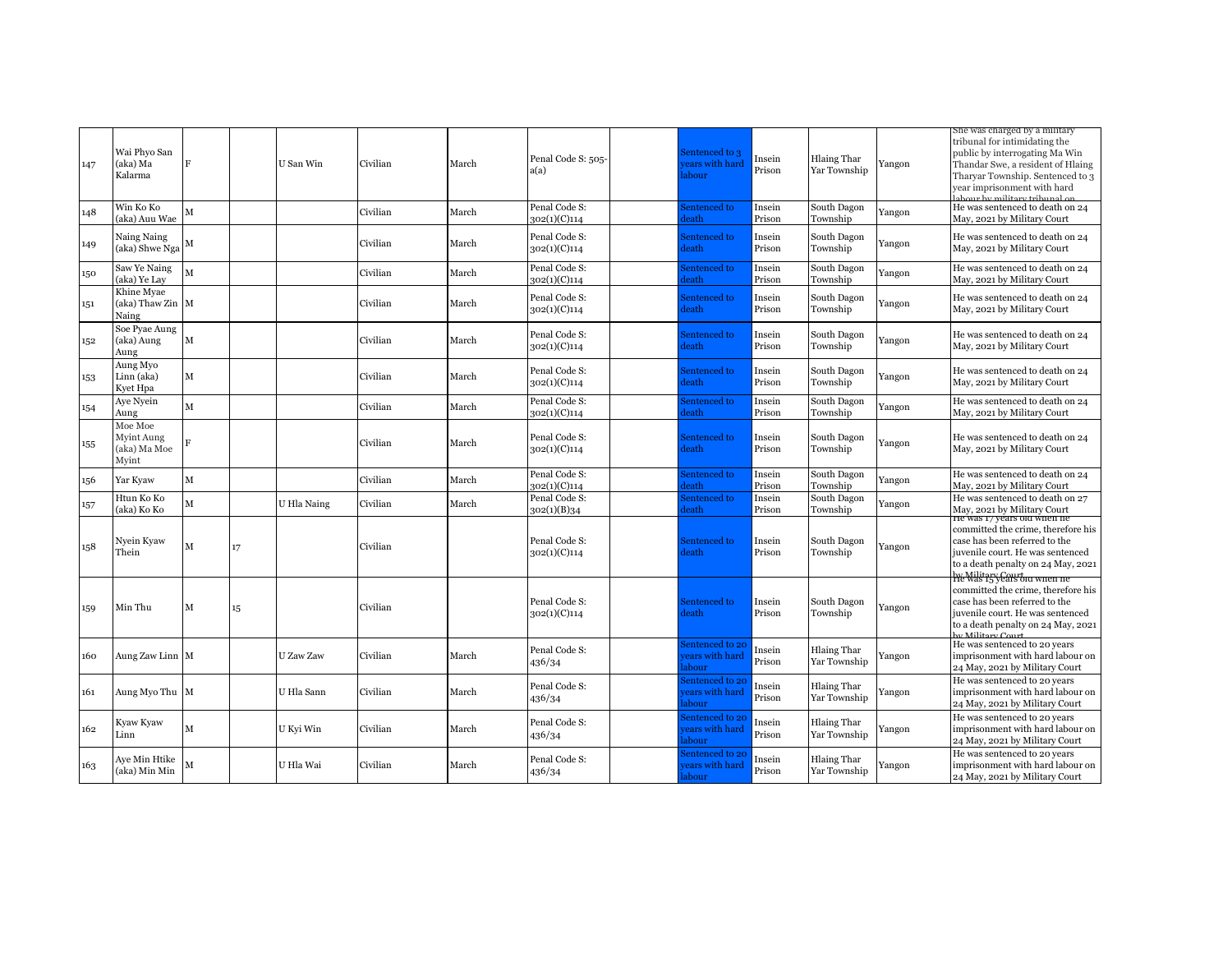| 147 | Wai Phyo San<br>(aka) Ma<br>Kalarma            | F |    | U San Win   | Civilian | March | Penal Code S: 505-<br>a(a)    | Sentenced to 3<br>ears with hard<br>abour | Insein<br>Prison | <b>Hlaing Thar</b><br>Yar Township | Yangon | sne was cnarged by a military<br>tribunal for intimidating the<br>public by interrogating Ma Win<br>Thandar Swe, a resident of Hlaing<br>Tharyar Township. Sentenced to 3<br>year imprisonment with hard<br>shour by military tribunal or |
|-----|------------------------------------------------|---|----|-------------|----------|-------|-------------------------------|-------------------------------------------|------------------|------------------------------------|--------|-------------------------------------------------------------------------------------------------------------------------------------------------------------------------------------------------------------------------------------------|
| 148 | Win Ko Ko<br>(aka) Auu Wae                     | M |    |             | Civilian | March | Penal Code S:<br>302(1)(C)114 | Sentenced to<br>leath                     | Insein<br>Prison | South Dagon<br>Township            | Yangon | He was sentenced to death on 24<br>May, 2021 by Military Court                                                                                                                                                                            |
| 149 | Naing Naing<br>(aka) Shwe Nga                  | M |    |             | Civilian | March | Penal Code S:<br>302(1)(C)114 | Sentenced to<br>leath                     | Insein<br>Prison | South Dagon<br>Township            | Yangon | He was sentenced to death on 24<br>May, 2021 by Military Court                                                                                                                                                                            |
| 150 | Saw Ye Naing<br>(aka) Ye Lay                   | M |    |             | Civilian | March | Penal Code S:<br>302(1)(C)114 | entenced to<br>leath                      | Insein<br>Prison | South Dagon<br>Township            | Yangon | He was sentenced to death on 24<br>May, 2021 by Military Court                                                                                                                                                                            |
| 151 | Khine Myae<br>(aka) Thaw Zin M<br>Naing        |   |    |             | Civilian | March | Penal Code S:<br>302(1)(C)114 | Sentenced to<br>leath                     | Insein<br>Prison | South Dagon<br>Township            | Yangon | He was sentenced to death on 24<br>May, 2021 by Military Court                                                                                                                                                                            |
| 152 | Soe Pyae Aung<br>(aka) Aung<br>Aung            | M |    |             | Civilian | March | Penal Code S:<br>302(1)(C)114 | Sentenced to<br>leath                     | Insein<br>Prison | South Dagon<br>Township            | Yangon | He was sentenced to death on 24<br>May, 2021 by Military Court                                                                                                                                                                            |
| 153 | Aung Myo<br>Linn (aka)<br>Kyet Hpa             | M |    |             | Civilian | March | Penal Code S:<br>302(1)(C)114 | Sentenced to<br>leath-                    | Insein<br>Prison | South Dagon<br>Township            | Yangon | He was sentenced to death on 24<br>May, 2021 by Military Court                                                                                                                                                                            |
| 154 | Aye Nyein<br>Aung                              | M |    |             | Civilian | March | Penal Code S:<br>302(1)(C)114 | entenced to<br>leath                      | Insein<br>Prison | South Dagon<br>Township            | Yangon | He was sentenced to death on 24<br>May, 2021 by Military Court                                                                                                                                                                            |
| 155 | Moe Moe<br>Myint Aung<br>(aka) Ma Moe<br>Myint |   |    |             | Civilian | March | Penal Code S:<br>302(1)(C)114 | Sentenced to<br>leath                     | Insein<br>Prison | South Dagon<br>Township            | Yangon | He was sentenced to death on 24<br>May, 2021 by Military Court                                                                                                                                                                            |
| 156 | Yar Kyaw                                       | М |    |             | Civilian | March | Penal Code S:<br>302(1)(C)114 | entenced to<br>leath                      | Insein<br>Prison | South Dagon<br>Township            | Yangon | He was sentenced to death on 24<br>May, 2021 by Military Court                                                                                                                                                                            |
| 157 | Htun Ko Ko<br>(aka) Ko Ko                      | M |    | U Hla Naing | Civilian | March | Penal Code S:<br>302(1)(B)34  | entenced to<br>leath                      | Insein<br>Prison | South Dagon<br>Township            | Yangon | He was sentenced to death on 27<br>May, 2021 by Military Court                                                                                                                                                                            |
| 158 | Nyein Kyaw<br>Thein                            | M | 17 |             | Civilian |       | Penal Code S:<br>302(1)(C)114 | Sentenced to<br>leath                     | Insein<br>Prison | South Dagon<br>Township            | Yangon | <del>he was 17 yéars old when ne</del><br>committed the crime, therefore his<br>case has been referred to the<br>juvenile court. He was sentenced<br>to a death penalty on 24 May, 2021<br>he Wilitary Court of when he                   |
| 159 | Min Thu                                        | M | 15 |             | Civilian |       | Penal Code S:<br>302(1)(C)114 | Sentenced to<br>leath                     | Insein<br>Prison | South Dagon<br>Township            | Yangon | committed the crime, therefore his<br>case has been referred to the<br>juvenile court. He was sentenced<br>to a death penalty on 24 May, 2021<br>$\cdots$ Militam Can                                                                     |
| 160 | Aung Zaw Linn M                                |   |    | U Zaw Zaw   | Civilian | March | Penal Code S:<br>436/34       | entenced to 20<br>ears with hard<br>abour | Insein<br>Prison | <b>Hlaing Thar</b><br>Yar Township | Yangon | He was sentenced to 20 years<br>imprisonment with hard labour on<br>24 May, 2021 by Military Court                                                                                                                                        |
| 161 | Aung Myo Thu M                                 |   |    | U Hla Sann  | Civilian | March | Penal Code S:<br>436/34       | entenced to 20<br>ears with hard<br>abour | Insein<br>Prison | <b>Hlaing Thar</b><br>Yar Township | Yangon | He was sentenced to 20 years<br>imprisonment with hard labour on<br>24 May, 2021 by Military Court                                                                                                                                        |
| 162 | Kyaw Kyaw<br>Linn                              | M |    | U Kyi Win   | Civilian | March | Penal Code S:<br>436/34       | entenced to 20<br>ears with hard<br>abour | Insein<br>Prison | <b>Hlaing Thar</b><br>Yar Township | Yangon | He was sentenced to 20 years<br>imprisonment with hard labour on<br>24 May, 2021 by Military Court                                                                                                                                        |
| 163 | Aye Min Htike<br>(aka) Min Min                 |   |    | U Hla Wai   | Civilian | March | Penal Code S:<br>436/34       | entenced to 20<br>ears with hard<br>abour | Insein<br>Prison | <b>Hlaing Thar</b><br>Yar Township | Yangon | He was sentenced to 20 years<br>imprisonment with hard labour on<br>24 May, 2021 by Military Court                                                                                                                                        |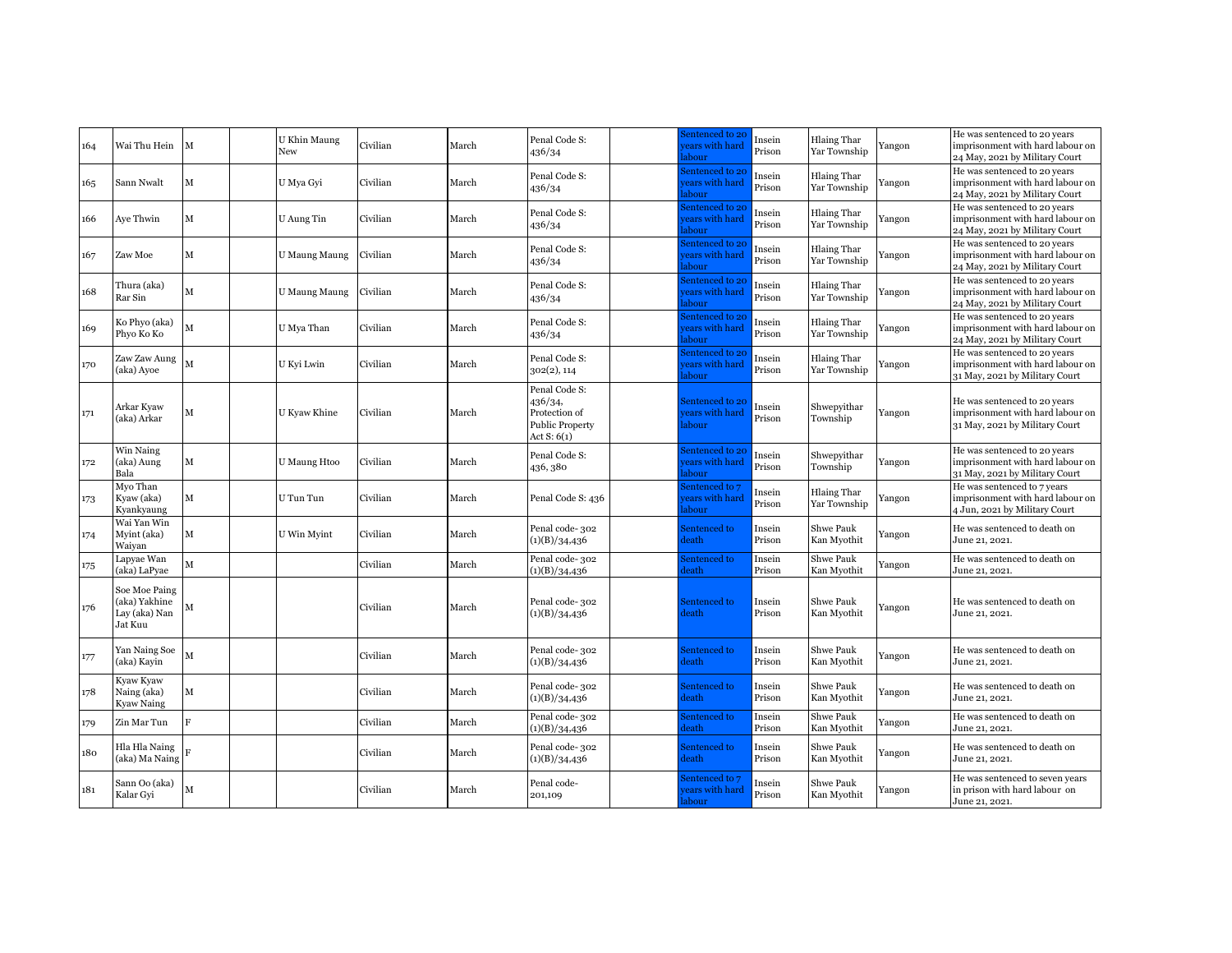| 164 | Wai Thu Hein                                               | M              | U Khin Maung<br>New | Civilian | March | Penal Code S:<br>436/34                                                              | entenced to 20<br>ears with hard<br>abour | Insein<br>Prison | <b>Hlaing Thar</b><br>Yar Township | Yangon | He was sentenced to 20 years<br>imprisonment with hard labour on<br>24 May, 2021 by Military Court |
|-----|------------------------------------------------------------|----------------|---------------------|----------|-------|--------------------------------------------------------------------------------------|-------------------------------------------|------------------|------------------------------------|--------|----------------------------------------------------------------------------------------------------|
| 165 | Sann Nwalt                                                 | М              | U Mya Gyi           | Civilian | March | Penal Code S:<br>436/34                                                              | entenced to 20<br>ears with hard<br>abour | Insein<br>Prison | <b>Hlaing Thar</b><br>Yar Township | Yangon | He was sentenced to 20 vears<br>imprisonment with hard labour on<br>24 May, 2021 by Military Court |
| 166 | Aye Thwin                                                  | М              | U Aung Tin          | Civilian | March | Penal Code S:<br>436/34                                                              | entenced to 20<br>ears with hard<br>abour | Insein<br>Prison | <b>Hlaing Thar</b><br>Yar Township | Yangon | He was sentenced to 20 years<br>imprisonment with hard labour on<br>24 May, 2021 by Military Court |
| 167 | Zaw Moe                                                    | М              | U Maung Maung       | Civilian | March | Penal Code S:<br>436/34                                                              | entenced to 20<br>ears with hard<br>abour | Insein<br>Prison | <b>Hlaing Thar</b><br>Yar Township | Yangon | He was sentenced to 20 years<br>imprisonment with hard labour on<br>24 May, 2021 by Military Court |
| 168 | Thura (aka)<br>Rar Sin                                     | М              | U Maung Maung       | Civilian | March | Penal Code S:<br>436/34                                                              | entenced to 20<br>ears with hard<br>abour | Insein<br>Prison | <b>Hlaing Thar</b><br>Yar Township | Yangon | He was sentenced to 20 years<br>imprisonment with hard labour on<br>24 May, 2021 by Military Court |
| 169 | Ko Phyo (aka)<br>Phyo Ko Ko                                | M              | U Mya Than          | Civilian | March | Penal Code S:<br>436/34                                                              | entenced to 20<br>ears with hard<br>abour | Insein<br>Prison | <b>Hlaing Thar</b><br>Yar Township | Yangon | He was sentenced to 20 years<br>imprisonment with hard labour on<br>24 May, 2021 by Military Court |
| 170 | Zaw Zaw Aung<br>(aka) Ayoe                                 | M              | U Kyi Lwin          | Civilian | March | Penal Code S:<br>302(2), 114                                                         | entenced to 20<br>ears with hard<br>abour | Insein<br>Prison | <b>Hlaing Thar</b><br>Yar Township | Yangon | He was sentenced to 20 years<br>imprisonment with hard labour on<br>31 May, 2021 by Military Court |
| 171 | Arkar Kvaw<br>(aka) Arkar                                  | М              | U Kyaw Khine        | Civilian | March | Penal Code S:<br>436/34,<br>Protection of<br><b>Public Property</b><br>Act $S: 6(1)$ | entenced to 20<br>ears with hard<br>abour | Insein<br>Prison | Shwepyithar<br>Township            | Yangon | He was sentenced to 20 years<br>imprisonment with hard labour on<br>31 May, 2021 by Military Court |
| 172 | Win Naing<br>(aka) Aung<br>Bala                            | M              | <b>U</b> Maung Htoo | Civilian | March | Penal Code S:<br>436, 380                                                            | entenced to 20<br>ears with hard<br>abour | Insein<br>Prison | Shwepyithar<br>Township            | Yangon | He was sentenced to 20 years<br>imprisonment with hard labour on<br>31 May, 2021 by Military Court |
| 173 | Myo Than<br>Kyaw (aka)<br>Kyankyaung                       | М              | U Tun Tun           | Civilian | March | Penal Code S: 436                                                                    | entenced to 7<br>ears with hard<br>abour  | Insein<br>Prison | <b>Hlaing Thar</b><br>Yar Township | Yangon | He was sentenced to 7 years<br>imprisonment with hard labour on<br>4 Jun, 2021 by Military Court   |
| 174 | Wai Yan Win<br>Myint (aka)<br>Waivan                       | M              | U Win Myint         | Civilian | March | Penal code-302<br>(1)(B)/34,436                                                      | entenced to<br>leath                      | Insein<br>Prison | Shwe Pauk<br>Kan Myothit           | Yangon | He was sentenced to death on<br>June 21, 2021.                                                     |
| 175 | Lapyae Wan<br>(aka) LaPyae                                 | M              |                     | Civilian | March | Penal code-302<br>(1)(B)/34,436                                                      | entenced to<br>leath                      | Insein<br>Prison | Shwe Pauk<br>Kan Myothit           | Yangon | He was sentenced to death on<br>June 21, 2021.                                                     |
| 176 | Soe Moe Paing<br>(aka) Yakhine<br>Lay (aka) Nan<br>Jat Kuu | М              |                     | Civilian | March | Penal code-302<br>(1)(B)/34,436                                                      | entenced to<br>leath                      | Insein<br>Prison | Shwe Pauk<br>Kan Myothit           | Yangon | He was sentenced to death on<br>June 21, 2021.                                                     |
| 177 | Yan Naing Soe<br>(aka) Kayin                               | M              |                     | Civilian | March | Penal code-302<br>(1)(B)/34,436                                                      | Sentenced to<br>leath                     | Insein<br>Prison | Shwe Pauk<br>Kan Myothit           | Yangon | He was sentenced to death on<br>June 21, 2021.                                                     |
| 178 | Kyaw Kyaw<br>Naing (aka)<br><b>Kyaw Naing</b>              | м              |                     | Civilian | March | Penal code-302<br>(1)(B)/34,436                                                      | Sentenced to<br>leath                     | Insein<br>Prison | Shwe Pauk<br>Kan Myothit           | Yangon | He was sentenced to death on<br>June 21, 2021.                                                     |
| 179 | Zin Mar Tun                                                | $\overline{R}$ |                     | Civilian | March | Penal code-302<br>(1)(B)/34,436                                                      | entenced to<br>eath                       | Insein<br>Prison | Shwe Pauk<br>Kan Myothit           | Yangon | He was sentenced to death on<br>June 21, 2021.                                                     |
| 180 | Hla Hla Naing<br>(aka) Ma Naing                            |                |                     | Civilian | March | Penal code-302<br>(1)(B)/34,436                                                      | entenced to<br>leath                      | Insein<br>Prison | Shwe Pauk<br>Kan Myothit           | Yangon | He was sentenced to death on<br>June 21, 2021.                                                     |
| 181 | Sann Oo (aka)<br>Kalar Gyi                                 | M              |                     | Civilian | March | Penal code-<br>201,109                                                               | entenced to 7<br>ears with hard<br>abour  | Insein<br>Prison | Shwe Pauk<br>Kan Myothit           | Yangon | He was sentenced to seven years<br>in prison with hard labour on<br>June 21, 2021.                 |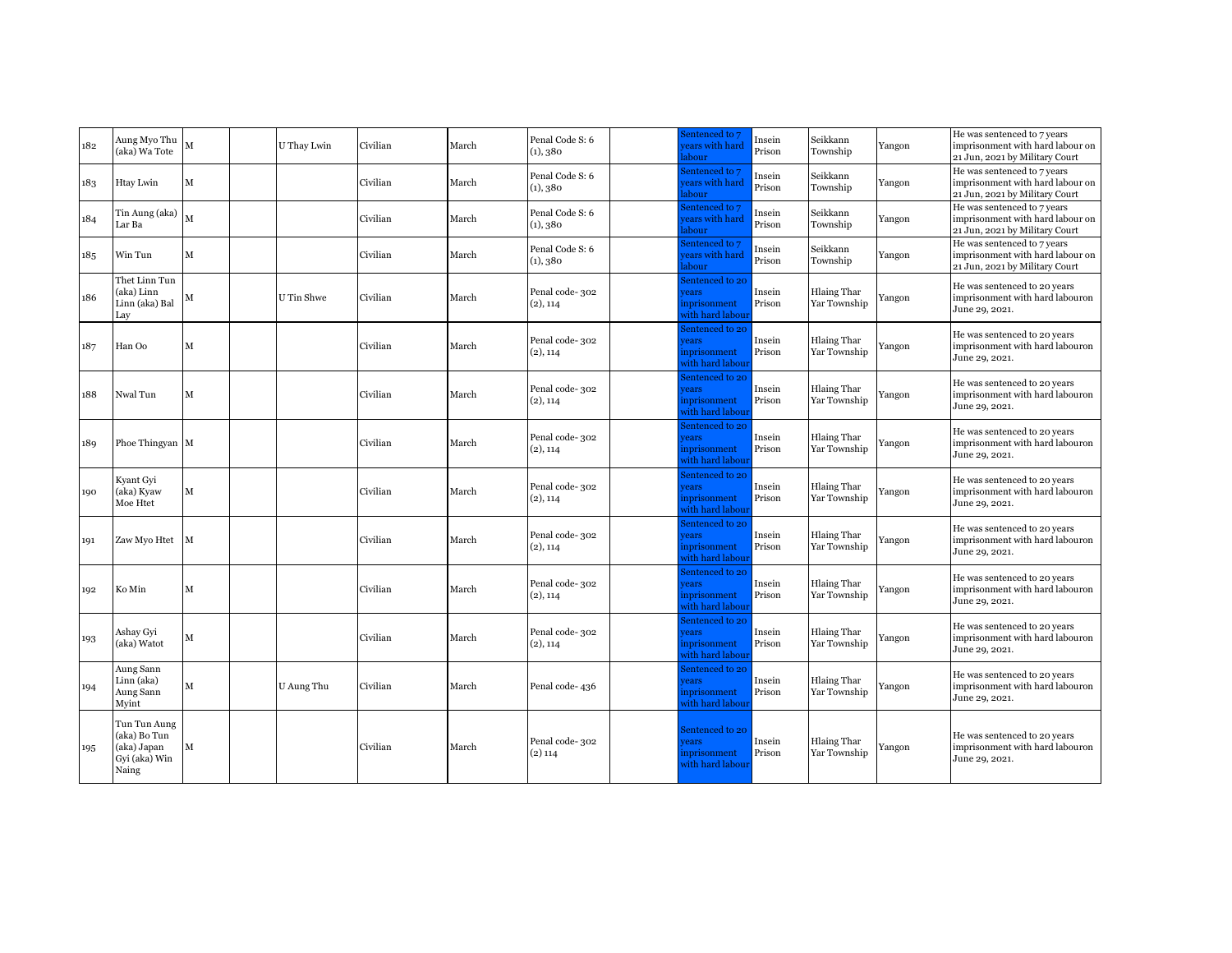| 182 | Aung Myo Thu<br>(aka) Wa Tote                                         | M | U Thay Lwin | Civilian | March | Penal Code S: 6<br>(1), 380 | Sentenced to 7<br>ears with hard<br>abour                        | Insein<br>Prison | Seikkann<br>Township               | Yangon | He was sentenced to 7 years<br>imprisonment with hard labour on<br>21 Jun, 2021 by Military Court |
|-----|-----------------------------------------------------------------------|---|-------------|----------|-------|-----------------------------|------------------------------------------------------------------|------------------|------------------------------------|--------|---------------------------------------------------------------------------------------------------|
| 183 | Htay Lwin                                                             | М |             | Civilian | March | Penal Code S: 6<br>(1), 380 | Sentenced to 7<br>ears with hard<br>abour                        | Insein<br>Prison | Seikkann<br>Township               | Yangon | He was sentenced to 7 years<br>imprisonment with hard labour on<br>21 Jun, 2021 by Military Court |
| 184 | Tin Aung (aka)<br>Lar Ba                                              |   |             | Civilian | March | Penal Code S: 6<br>(1), 380 | Sentenced to 7<br>ears with hard<br>abour                        | Insein<br>Prison | Seikkann<br>Township               | Yangon | He was sentenced to 7 years<br>imprisonment with hard labour on<br>21 Jun, 2021 by Military Court |
| 185 | Win Tun                                                               | M |             | Civilian | March | Penal Code S: 6<br>(1), 380 | Sentenced to 7<br>ears with hard<br>abour                        | Insein<br>Prison | Seikkann<br>Township               | Yangon | He was sentenced to 7 years<br>imprisonment with hard labour on<br>21 Jun, 2021 by Military Court |
| 186 | Thet Linn Tun<br>(aka) Linn<br>Linn (aka) Bal<br>Lav                  | M | U Tin Shwe  | Civilian | March | Penal code-302<br>(2), 114  | entenced to 20<br><b>rears</b><br>nprisonment<br>vith hard labou | Insein<br>Prison | Hlaing Thar<br>Yar Township        | Yangon | He was sentenced to 20 years<br>imprisonment with hard labouron<br>June 29, 2021.                 |
| 187 | Han Oo                                                                | м |             | Civilian | March | Penal code-302<br>(2), 114  | entenced to 20<br>ears<br>nprisonment<br>vith hard labou         | Insein<br>Prison | Hlaing Thar<br>Yar Township        | Yangon | He was sentenced to 20 years<br>imprisonment with hard labouron<br>June 29, 2021.                 |
| 188 | Nwal Tun                                                              | M |             | Civilian | March | Penal code-302<br>(2), 114  | entenced to 20<br>ears<br>nprisonment<br>vith hard labour        | Insein<br>Prison | Hlaing Thar<br>Yar Township        | Yangon | He was sentenced to 20 years<br>imprisonment with hard labouron<br>June 29, 2021.                 |
| 189 | Phoe Thingyan M                                                       |   |             | Civilian | March | Penal code-302<br>(2), 114  | entenced to 20<br><b>rears</b><br>nprisonment<br>vith hard labou | Insein<br>Prison | Hlaing Thar<br>Yar Township        | Yangon | He was sentenced to 20 years<br>imprisonment with hard labouron<br>June 29, 2021.                 |
| 190 | Kyant Gyi<br>(aka) Kyaw<br>Moe Htet                                   | M |             | Civilian | March | Penal code-302<br>(2), 114  | entenced to 20<br>rears<br>nprisonment<br>vith hard labou        | Insein<br>Prison | Hlaing Thar<br>Yar Township        | Yangon | He was sentenced to 20 years<br>imprisonment with hard labouron<br>June 29, 2021.                 |
| 191 | Zaw Myo Htet                                                          | M |             | Civilian | March | Penal code-302<br>(2), 114  | entenced to 20<br>rears<br>nprisonment<br>vith hard labou        | Insein<br>Prison | Hlaing Thar<br>Yar Township        | Yangon | He was sentenced to 20 years<br>imprisonment with hard labouron<br>June 29, 2021.                 |
| 192 | Ko Min                                                                | M |             | Civilian | March | Penal code-302<br>(2), 114  | entenced to 20<br>rears<br>nprisonment<br>vith hard labou        | Insein<br>Prison | Hlaing Thar<br>Yar Township        | Yangon | He was sentenced to 20 years<br>imprisonment with hard labouron<br>June 29, 2021.                 |
| 193 | Ashay Gyi<br>(aka) Watot                                              | M |             | Civilian | March | Penal code-302<br>(2), 114  | entenced to 20<br>ears<br>nprisonment<br>vith hard labou         | Insein<br>Prison | Hlaing Thar<br>Yar Township        | Yangon | He was sentenced to 20 years<br>imprisonment with hard labouron<br>June 29, 2021.                 |
| 194 | Aung Sann<br>Linn (aka)<br>Aung Sann<br>Myint                         | M | U Aung Thu  | Civilian | March | Penal code-436              | entenced to 20<br>rears<br>nprisonment<br>vith hard labou        | Insein<br>Prison | Hlaing Thar<br>Yar Township        | Yangon | He was sentenced to 20 years<br>imprisonment with hard labouron<br>June 29, 2021.                 |
| 195 | Tun Tun Aung<br>(aka) Bo Tun<br>(aka) Japan<br>Gyi (aka) Win<br>Naing | M |             | Civilian | March | Penal code-302<br>$(2)$ 114 | Sentenced to 20<br>rears<br>nprisonment<br>vith hard labour      | Insein<br>Prison | <b>Hlaing Thar</b><br>Yar Township | Yangon | He was sentenced to 20 years<br>imprisonment with hard labouron<br>June 29, 2021.                 |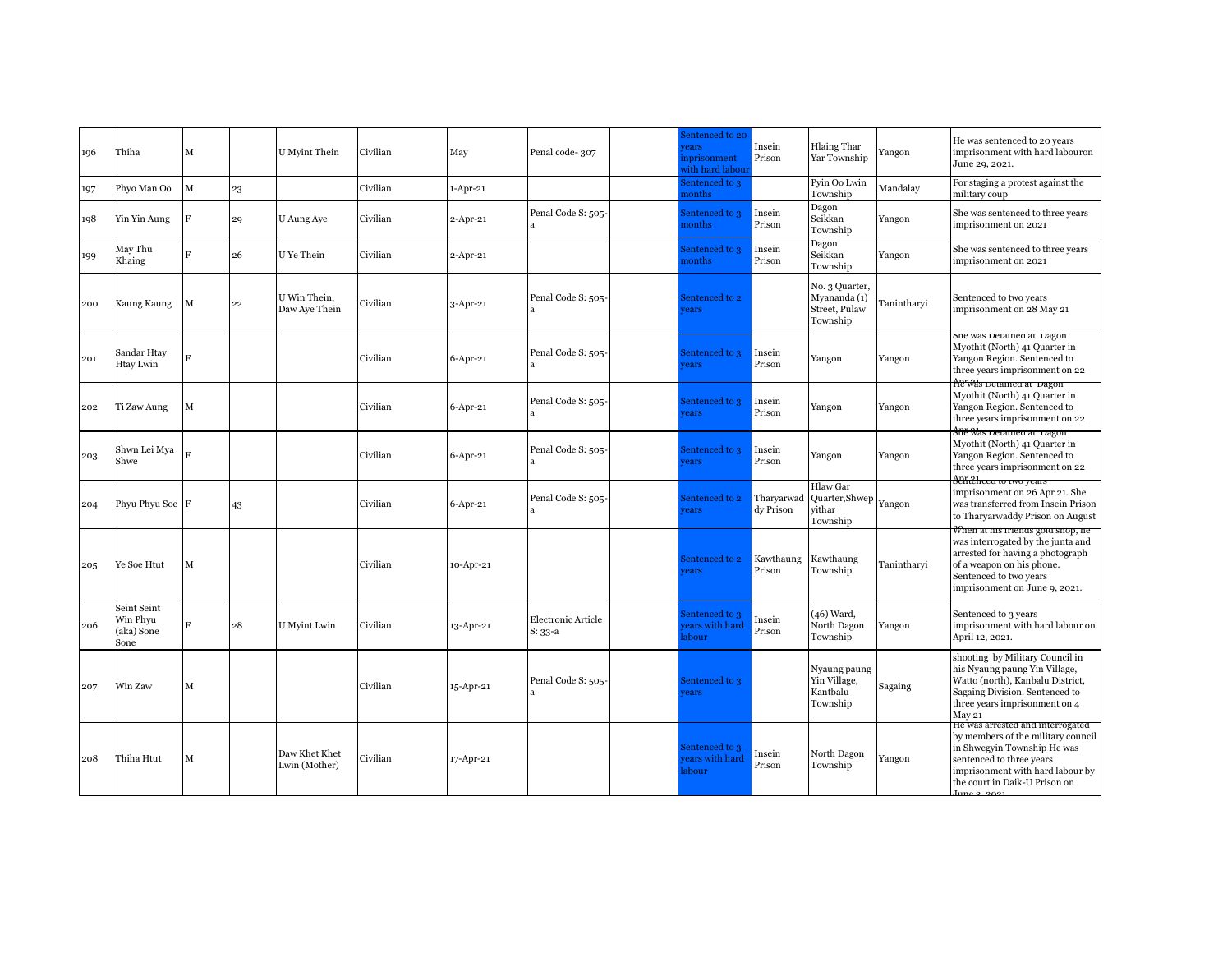| 196 | Thiha                                         | M              |    | U Myint Thein                  | Civilian | May         | Penal code-307                  | entenced to 20<br>rears<br>nprisonment<br>vith hard labour | Insein<br>Prison        | Hlaing Thar<br>Yar Township                                 | Yangon      | He was sentenced to 20 years<br>imprisonment with hard labouron<br>June 29, 2021.                                                                                                                                     |
|-----|-----------------------------------------------|----------------|----|--------------------------------|----------|-------------|---------------------------------|------------------------------------------------------------|-------------------------|-------------------------------------------------------------|-------------|-----------------------------------------------------------------------------------------------------------------------------------------------------------------------------------------------------------------------|
| 197 | Phyo Man Oo                                   | $\mathbf M$    | 23 |                                | Civilian | $1-Apr-21$  |                                 | sentenced to 3<br>nonths                                   |                         | Pyin Oo Lwin<br>Township                                    | Mandalay    | For staging a protest against the<br>military coup                                                                                                                                                                    |
| 98  | Yin Yin Aung                                  | $\overline{F}$ | 29 | U Aung Aye                     | Civilian | $2$ -Apr-21 | Penal Code S: 505-              | Sentenced to 3<br>nonths                                   | Insein<br>Prison        | Dagon<br>Seikkan<br>Township                                | Yangon      | She was sentenced to three years<br>imprisonment on 2021                                                                                                                                                              |
| 199 | May Thu<br>Khaing                             | Ħ              | 26 | U Ye Thein                     | Civilian | $2$ -Apr-21 |                                 | sentenced to 3<br>nonths                                   | Insein<br>Prison        | Dagon<br>Seikkan<br>Township                                | Yangon      | She was sentenced to three years<br>imprisonment on 2021                                                                                                                                                              |
| 200 | Kaung Kaung                                   | M              | 22 | U Win Thein.<br>Daw Aye Thein  | Civilian | 3-Apr-21    | Penal Code S: 505-              | Sentenced to 2<br><b>rears</b>                             |                         | No. 3 Quarter,<br>Myananda (1)<br>Street, Pulaw<br>Township | Tanintharyi | Sentenced to two years<br>imprisonment on 28 May 21                                                                                                                                                                   |
| 201 | Sandar Htay<br>Htay Lwin                      | $\overline{R}$ |    |                                | Civilian | 6-Apr-21    | Penal Code S: 505-              | Sentenced to 3<br>ears                                     | Insein<br>Prison        | Yangon                                                      | Yangon      | sne was detamed at Dagon<br>Myothit (North) 41 Quarter in<br>Yangon Region. Sentenced to<br>three years imprisonment on 22                                                                                            |
| 202 | Ti Zaw Aung                                   | M              |    |                                | Civilian | $6-Apr-21$  | Penal Code S: 505-              | Sentenced to 3<br><b>rears</b>                             | Insein<br>Prison        | Yangon                                                      | Yangon      | Ae was vetamed at vagon<br>Myothit (North) 41 Quarter in<br>Yangon Region. Sentenced to<br>three years imprisonment on 22<br><i><b>Sne Was Detamed at Dagon</b></i>                                                   |
| 203 | Shwn Lei Mya<br>Shwe                          |                |    |                                | Civilian | 6-Apr-21    | Penal Code S: 505-              | sentenced to 3<br>rears                                    | Insein<br>Prison        | Yangon                                                      | Yangon      | Myothit (North) 41 Quarter in<br>Yangon Region. Sentenced to<br>three years imprisonment on 22                                                                                                                        |
| 204 | Phyu Phyu Soe F                               |                | 43 |                                | Civilian | 6-Apr-21    | Penal Code S: 505-              | Sentenced to 2<br><b>rears</b>                             | Tharvarwad<br>dy Prison | Hlaw Gar<br>Quarter, Shwep<br>vithar<br>Township            | Yangon      | Sentenced to two years<br>imprisonment on 26 Apr 21. She<br>was transferred from Insein Prison<br>to Tharyarwaddy Prison on August                                                                                    |
| 205 | Ye Soe Htut                                   | М              |    |                                | Civilian | 10-Apr-21   |                                 | Sentenced to 2<br>rears                                    | Kawthaung<br>Prison     | Kawthaung<br>Township                                       | Tanintharvi | When at ms menas gold shop, he<br>was interrogated by the junta and<br>arrested for having a photograph<br>of a weapon on his phone.<br>Sentenced to two years<br>imprisonment on June 9, 2021.                       |
| 206 | Seint Seint<br>Win Phyu<br>(aka) Sone<br>Sone | F              | 28 | U Myint Lwin                   | Civilian | 13-Apr-21   | Electronic Article<br>$S: 33-a$ | Sentenced to 3<br>ears with hard<br>abour                  | Insein<br>Prison        | (46) Ward,<br>North Dagon<br>Township                       | Yangon      | Sentenced to 3 years<br>imprisonment with hard labour on<br>April 12, 2021.                                                                                                                                           |
| 207 | Win Zaw                                       | M              |    |                                | Civilian | 15-Apr-21   | Penal Code S: 505-              | Sentenced to 3<br><b>rears</b>                             |                         | Nyaung paung<br>Yin Village,<br>Kantbalu<br>Township        | Sagaing     | shooting by Military Council in<br>his Nyaung paung Yin Village,<br>Watto (north), Kanbalu District,<br>Sagaing Division. Sentenced to<br>three years imprisonment on 4<br>May 21<br>He was arrested and interrogated |
| 208 | Thiha Htut                                    | $\mathbf M$    |    | Daw Khet Khet<br>Lwin (Mother) | Civilian | 17-Apr-21   |                                 | Sentenced to 3<br>ears with hard<br>abour                  | Insein<br>Prison        | North Dagon<br>Township                                     | Yangon      | by members of the military council<br>in Shwegyin Township He was<br>sentenced to three years<br>imprisonment with hard labour by<br>the court in Daik-U Prison on<br>1000000001                                      |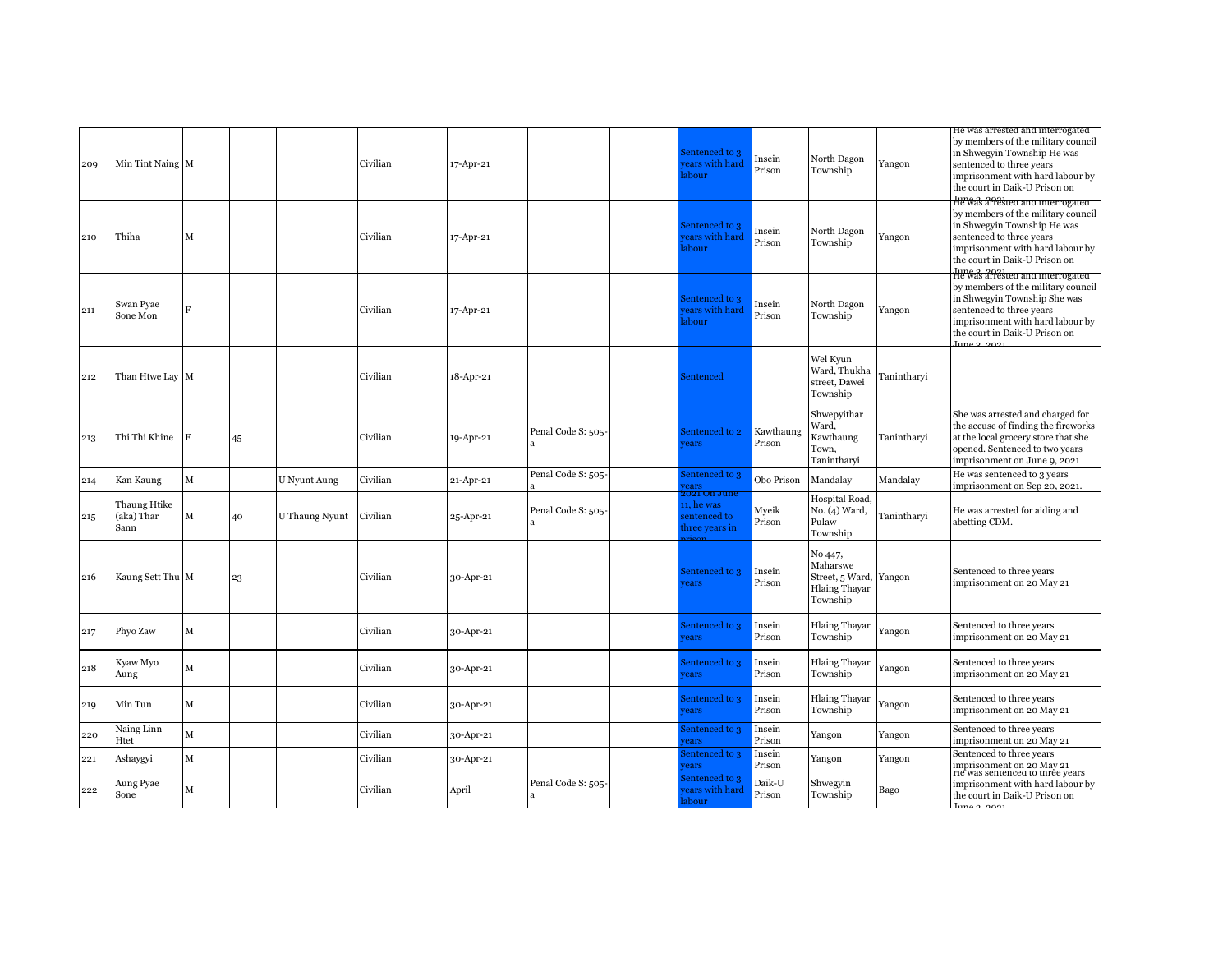| 209 | Min Tint Naing M                   |              |    |                | Civilian | 17-Apr-21 |                    | Sentenced to 3<br>ears with hard<br>abour                      | Insein<br>Prison    | North Dagon<br>Township                                                           | Yangon      | He was arrested and interrogated<br>by members of the military council<br>in Shwegyin Township He was<br>sentenced to three years<br>imprisonment with hard labour by<br>the court in Daik-U Prison on                           |
|-----|------------------------------------|--------------|----|----------------|----------|-----------|--------------------|----------------------------------------------------------------|---------------------|-----------------------------------------------------------------------------------|-------------|----------------------------------------------------------------------------------------------------------------------------------------------------------------------------------------------------------------------------------|
| 210 | Thiha                              | M            |    |                | Civilian | 17-Apr-21 |                    | entenced to 3<br>ears with hard<br>abour                       | Insein<br>Prison    | North Dagon<br>Township                                                           | Yangon      | He was arrested and interrogated<br>by members of the military council<br>in Shwegyin Township He was<br>sentenced to three years<br>imprisonment with hard labour by<br>the court in Daik-U Prison on                           |
| 211 | Swan Pyae<br>Sone Mon              | F            |    |                | Civilian | 17-Apr-21 |                    | entenced to 3<br>ears with hard<br>abour                       | Insein<br>Prison    | North Dagon<br>Township                                                           | Yangon      | He was arrested and interrogated<br>by members of the military council<br>in Shwegyin Township She was<br>sentenced to three years<br>imprisonment with hard labour by<br>the court in Daik-U Prison on<br>$\lim_{9}$ $\lim_{1}$ |
| 212 | Than Htwe Lay M                    |              |    |                | Civilian | 18-Apr-21 |                    | Sentenced                                                      |                     | Wel Kyun<br>Ward, Thukha<br>street, Dawei<br>Township                             | Tanintharyi |                                                                                                                                                                                                                                  |
| 213 | Thi Thi Khine                      | F            | 45 |                | Civilian | 19-Apr-21 | Penal Code S: 505- | Sentenced to 2<br>ears                                         | Kawthaung<br>Prison | Shwepyithar<br>Ward,<br>Kawthaung<br>Town,<br>Tanintharyi                         | Tanintharvi | She was arrested and charged for<br>the accuse of finding the fireworks<br>at the local grocery store that she<br>opened. Sentenced to two years<br>imprisonment on June 9, 2021                                                 |
| 214 | Kan Kaung                          | $\mathbf M$  |    | U Nyunt Aung   | Civilian | 21-Apr-21 | Penal Code S: 505- | entenced to 3<br>ears                                          | Obo Prison          | Mandalay                                                                          | Mandalay    | He was sentenced to 3 years<br>imprisonment on Sep 20, 2021.                                                                                                                                                                     |
| 215 | Thaung Htike<br>(aka) Thar<br>Sann | М            | 40 | U Thaung Nyunt | Civilian | 25-Apr-21 | Penal Code S: 505- | 102 E V<br>roune<br>11, he was<br>entenced to<br>hree years in | Myeik<br>Prison     | Hospital Road.<br>No. (4) Ward,<br>Pulaw<br>Township                              | Tanintharvi | He was arrested for aiding and<br>abetting CDM.                                                                                                                                                                                  |
| 216 | Kaung Sett Thu M                   |              | 23 |                | Civilian | 30-Apr-21 |                    | Sentenced to 3<br>ears                                         | Insein<br>Prison    | No 447,<br>Maharswe<br>Street, 5 Ward, Yangon<br><b>Hlaing Thayar</b><br>Township |             | Sentenced to three years<br>imprisonment on 20 May 21                                                                                                                                                                            |
| 217 | Phyo Zaw                           | M            |    |                | Civilian | 30-Apr-21 |                    | Sentenced to 3<br>ears                                         | Insein<br>Prison    | <b>Hlaing Thayar</b><br>Township                                                  | Yangon      | Sentenced to three years<br>imprisonment on 20 May 21                                                                                                                                                                            |
| 218 | Kyaw Myo<br>Aung                   | M            |    |                | Civilian | 30-Apr-21 |                    | Sentenced to 3<br>ears                                         | Insein<br>Prison    | <b>Hlaing Thayar</b><br>Township                                                  | Yangon      | Sentenced to three years<br>imprisonment on 20 May 21                                                                                                                                                                            |
| 219 | Min Tun                            | М            |    |                | Civilian | 30-Apr-21 |                    | Sentenced to 3<br>ears                                         | Insein<br>Prison    | <b>Hlaing Thayar</b><br>Township                                                  | Yangon      | Sentenced to three years<br>imprisonment on 20 May 21                                                                                                                                                                            |
| 220 | Naing Linn<br>Htet                 | $\mathbf M$  |    |                | Civilian | 30-Apr-21 |                    | entenced to 3<br>ears                                          | Insein<br>Prison    | Yangon                                                                            | Yangon      | Sentenced to three years<br>imprisonment on 20 May 21                                                                                                                                                                            |
| 221 | Ashaygyi                           | $\mathbf{M}$ |    |                | Civilian | 30-Apr-21 |                    | entenced to 3<br>ears                                          | Insein<br>Prison    | Yangon                                                                            | Yangon      | Sentenced to three years<br>imprisonment on 20 May 21                                                                                                                                                                            |
| 222 | Aung Pyae<br>Sone                  | М            |    |                | Civilian | April     | Penal Code S: 505- | entenced to 3<br>ears with hard<br>abour                       | Daik-U<br>Prison    | Shwegyin<br>Township                                                              | Bago        | <del>ne was semenceu to unée years</del><br>imprisonment with hard labour by<br>the court in Daik-U Prison on                                                                                                                    |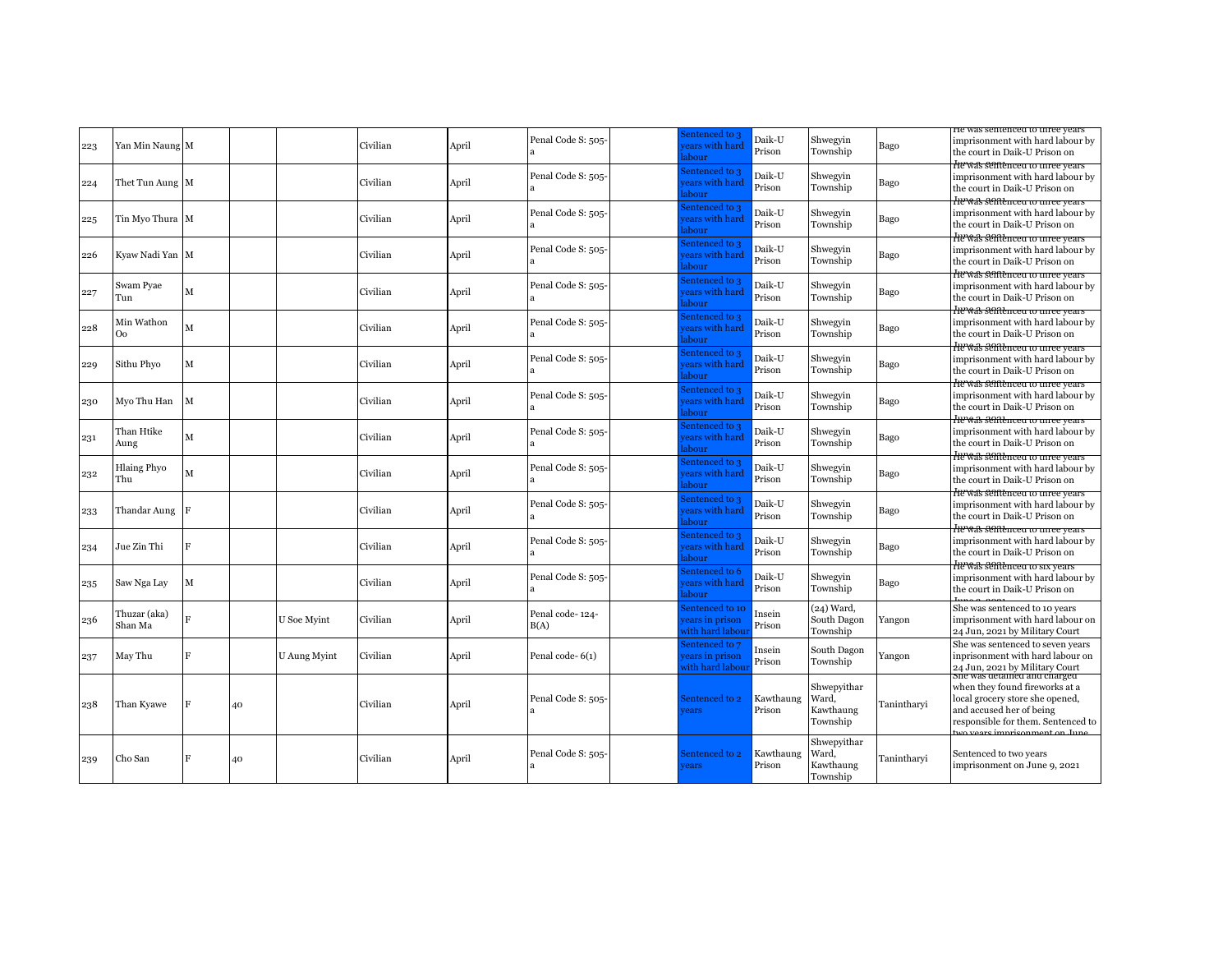|     |                           |                |    |              |          |       |                         |                                                     |                     |                                               |             | ne was semenced to three years                                                                                                                                      |
|-----|---------------------------|----------------|----|--------------|----------|-------|-------------------------|-----------------------------------------------------|---------------------|-----------------------------------------------|-------------|---------------------------------------------------------------------------------------------------------------------------------------------------------------------|
| 223 | Yan Min Naung M           |                |    |              | Civilian | April | Penal Code S: 505-      | sentenced to 3<br>ears with hard<br>abour           | Daik-U<br>Prison    | Shwegyin<br>Township                          | Bago        | imprisonment with hard labour by<br>the court in Daik-U Prison on                                                                                                   |
| 224 | Thet Tun Aung M           |                |    |              | Civilian | April | Penal Code S: 505-      | entenced to 3<br>ears with hard<br>abour            | Daik-U<br>Prison    | Shwegyin<br>Township                          | Bago        | He was sentenced to three years<br>imprisonment with hard labour by<br>the court in Daik-U Prison on                                                                |
| 225 | Tin Myo Thura M           |                |    |              | Civilian | April | Penal Code S: 505-      | sentenced to 3<br>ears with hard<br>abour           | Daik-U<br>Prison    | Shwegyin<br>Township                          | Bago        | He was sentenced to three years<br>imprisonment with hard labour by<br>the court in Daik-U Prison on                                                                |
| 226 | Kyaw Nadi Yan M           |                |    |              | Civilian | April | Penal Code S: 505-      | sentenced to 3<br>ears with hard<br>abour           | Daik-U<br>Prison    | Shwegyin<br>Township                          | Bago        | He was sentenced to three years<br>imprisonment with hard labour by<br>the court in Daik-U Prison on                                                                |
| 227 | Swam Pyae<br>Tun          | M              |    |              | Civilian | April | Penal Code S: 505-      | entenced to 3<br>ears with hard<br>abour            | Daik-U<br>Prison    | Shwegyin<br>Township                          | Bago        | He was sentenced to three years<br>imprisonment with hard labour by<br>the court in Daik-U Prison on                                                                |
| 228 | Min Wathon<br>Oo          | M              |    |              | Civilian | April | Penal Code S: 505-      | entenced to 3<br>ears with hard<br>abour            | Daik-U<br>Prison    | Shwegyin<br>Township                          | Bago        | He was sentenced to three years<br>imprisonment with hard labour by<br>the court in Daik-U Prison on                                                                |
| 229 | Sithu Phyo                | M              |    |              | Civilian | April | Penal Code S: 505-      | entenced to 3<br>ears with hard<br>abour            | Daik-U<br>Prison    | Shwegyin<br>Township                          | Bago        | He was sentenced to timee years<br>imprisonment with hard labour by<br>the court in Daik-U Prison on                                                                |
| 230 | Myo Thu Han               | M              |    |              | Civilian | April | Penal Code S: 505-      | entenced to 3<br>ears with hard<br>abour            | Daik-U<br>Prison    | Shwegyin<br>Township                          | Bago        | He was sentenced to three years<br>imprisonment with hard labour by<br>the court in Daik-U Prison on                                                                |
| 231 | Than Htike<br>Aung        | M              |    |              | Civilian | April | Penal Code S: 505-      | sentenced to 3<br>ears with hard<br>abour           | Daik-U<br>Prison    | Shwegyin<br>Township                          | Bago        | He was sentenced to three years<br>imprisonment with hard labour by<br>the court in Daik-U Prison on                                                                |
| 232 | <b>Hlaing Phyo</b><br>Thu | M              |    |              | Civilian | April | Penal Code S: 505-      | Sentenced to 3<br>ears with hard<br>abour           | Daik-U<br>Prison    | Shwegyin<br>Township                          | Bago        | He was sentenced to three years<br>imprisonment with hard labour by<br>the court in Daik-U Prison on                                                                |
| 233 | Thandar Aung F            |                |    |              | Civilian | April | Penal Code S: 505-      | entenced to 3<br>ears with hard<br>abour            | Daik-U<br>Prison    | Shwegyin<br>Township                          | Bago        | He was sentenced to three years<br>imprisonment with hard labour by<br>the court in Daik-U Prison on                                                                |
| 234 | Jue Zin Thi               | F              |    |              | Civilian | April | Penal Code S: 505-      | entenced to 3<br>ears with hard<br>abour            | Daik-U<br>Prison    | Shwegyin<br>Township                          | Bago        | He was sentenced to time vears<br>imprisonment with hard labour by<br>the court in Daik-U Prison on                                                                 |
| 235 | Saw Nga Lay               | M              |    |              | Civilian | April | Penal Code S: 505-      | entenced to 6<br>ears with hard<br>abour            | Daik-U<br>Prison    | Shwegyin<br>Township                          | Bago        | <del>He was sentenced to six years</del><br>imprisonment with hard labour by<br>the court in Daik-U Prison on                                                       |
| 236 | Thuzar (aka)<br>Shan Ma   | Ħ              |    | U Soe Myint  | Civilian | April | Penal code-124-<br>B(A) | entenced to 10<br>ears in prison<br>vith hard labou | Insein<br>Prison    | (24) Ward,<br>South Dagon<br>Township         | Yangon      | She was sentenced to 10 years<br>imprisonment with hard labour on<br>24 Jun, 2021 by Military Court                                                                 |
| 237 | May Thu                   | F              |    | U Aung Myint | Civilian | April | Penal code-6(1)         | Sentenced to 7<br>ears in prison<br>vith hard labou | Insein<br>Prison    | South Dagon<br>Township                       | Yangon      | She was sentenced to seven years<br>inprisonment with hard labour on<br>24 Jun, 2021 by Military Court                                                              |
| 238 | Than Kyawe                | F              | 40 |              | Civilian | April | Penal Code S: 505-      | Sentenced to 2<br>rears                             | Kawthaung<br>Prison | Shwepyithar<br>Ward.<br>Kawthaung<br>Township | Tanintharvi | sne was detained and charged<br>when they found fireworks at a<br>local grocery store she opened,<br>and accused her of being<br>responsible for them. Sentenced to |
| 239 | Cho San                   | $\overline{F}$ | 40 |              | Civilian | April | Penal Code S: 505-      | sentenced to 2<br>ears                              | Kawthaung<br>Prison | Shwepyithar<br>Ward,<br>Kawthaung<br>Township | Tanintharvi | Sentenced to two years<br>imprisonment on June 9, 2021                                                                                                              |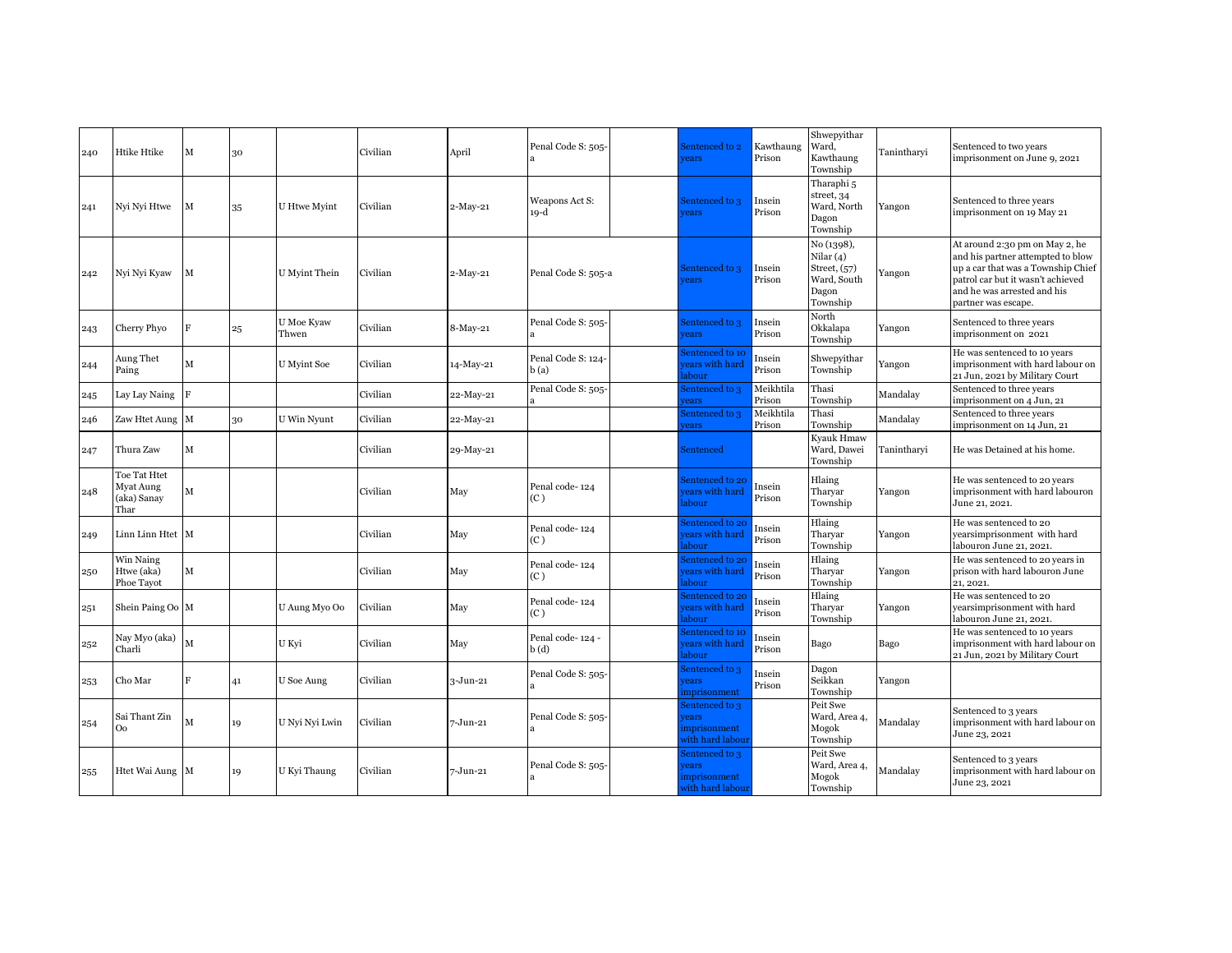| 240 | Htike Htike                                      | М              | 30 |                     | Civilian | April        | Penal Code S: 505-         | Sentenced to 2<br>rears                                   | Kawthaung<br>Prison | Shwepyithar<br>Ward,<br>Kawthaung<br>Township                              | Tanintharvi | Sentenced to two years<br>imprisonment on June 9, 2021                                                                                                                                               |
|-----|--------------------------------------------------|----------------|----|---------------------|----------|--------------|----------------------------|-----------------------------------------------------------|---------------------|----------------------------------------------------------------------------|-------------|------------------------------------------------------------------------------------------------------------------------------------------------------------------------------------------------------|
| 241 | Nyi Nyi Htwe                                     | М              | 35 | <b>U</b> Htwe Myint | Civilian | $2-May-21$   | Weapons Act S:<br>$19-d$   | Sentenced to 3<br>ears                                    | Insein<br>Prison    | Tharaphi <sub>5</sub><br>street, 34<br>Ward, North<br>Dagon<br>Township    | Yangon      | Sentenced to three years<br>imprisonment on 19 May 21                                                                                                                                                |
| 242 | Nyi Nyi Kyaw                                     | М              |    | U Myint Thein       | Civilian | $2-May-21$   | Penal Code S: 505-a        | Sentenced to 3<br>rears                                   | Insein<br>Prison    | No (1398),<br>Nilar(4)<br>Street, (57)<br>Ward, South<br>Dagon<br>Township | Yangon      | At around 2:30 pm on May 2, he<br>and his partner attempted to blow<br>up a car that was a Township Chief<br>patrol car but it wasn't achieved<br>and he was arrested and his<br>partner was escape. |
| 243 | Cherry Phyo                                      | $\overline{F}$ | 25 | U Moe Kyaw<br>Thwen | Civilian | 8-May-21     | Penal Code S: 505-         | Sentenced to 3<br>rears                                   | Insein<br>Prison    | North<br>Okkalapa<br>Township                                              | Yangon      | Sentenced to three years<br>imprisonment on 2021                                                                                                                                                     |
| 244 | Aung Thet<br>Paing                               | М              |    | U Myint Soe         | Civilian | 14-May-21    | Penal Code S: 124-<br>b(a) | entenced to 10<br>ears with hard<br>abour                 | Insein<br>Prison    | Shwepyithar<br>Township                                                    | Yangon      | He was sentenced to 10 years<br>imprisonment with hard labour on<br>21 Jun, 2021 by Military Court                                                                                                   |
| 245 | Lay Lay Naing                                    | $\overline{F}$ |    |                     | Civilian | 22-May-21    | Penal Code S: 505-         | entenced to 3<br>ears                                     | Meikhtila<br>Prison | Thasi<br>Township                                                          | Mandalay    | Sentenced to three years<br>imprisonment on 4 Jun, 21                                                                                                                                                |
| 246 | Zaw Htet Aung                                    | M              | 30 | U Win Nyunt         | Civilian | 22-May-21    |                            | entenced to 3<br>ears                                     | Meikhtila<br>Prison | Thasi<br>Township                                                          | Mandalay    | Sentenced to three years<br>imprisonment on 14 Jun, 21                                                                                                                                               |
| 247 | Thura Zaw                                        | М              |    |                     | Civilian | 29-May-21    |                            | Sentenced                                                 |                     | Kyauk Hmaw<br>Ward, Dawei<br>Township                                      | Tanintharyi | He was Detained at his home.                                                                                                                                                                         |
| 248 | Toe Tat Htet<br>Myat Aung<br>(aka) Sanay<br>Thar | М              |    |                     | Civilian | May          | Penal code-124<br>(C)      | Sentenced to 20<br>ears with hard<br>abour                | Insein<br>Prison    | Hlaing<br>Tharyar<br>Township                                              | Yangon      | He was sentenced to 20 years<br>imprisonment with hard labouron<br>June 21, 2021.                                                                                                                    |
| 249 | Linn Linn Htet M                                 |                |    |                     | Civilian | May          | Penal code-124<br>(C)      | sentenced to 20<br>ears with hard<br>abour                | Insein<br>Prison    | Hlaing<br>Tharyar<br>Township                                              | Yangon      | He was sentenced to 20<br>yearsimprisonment with hard<br>labouron June 21, 2021.                                                                                                                     |
| 250 | Win Naing<br>Htwe (aka)<br>Phoe Tavot            | М              |    |                     | Civilian | May          | Penal code-124<br>(C)      | entenced to 20<br>ears with hard<br>abour                 | Insein<br>Prison    | Hlaing<br>Tharvar<br>Township                                              | Yangon      | He was sentenced to 20 years in<br>prison with hard labouron June<br>21, 2021.                                                                                                                       |
| 251 | Shein Paing Oo M                                 |                |    | U Aung Myo Oo       | Civilian | May          | Penal code-124<br>(C)      | entenced to 20<br>ears with hard<br>abour                 | Insein<br>Prison    | Hlaing<br>Tharvar<br>Township                                              | Yangon      | He was sentenced to 20<br>yearsimprisonment with hard<br>labouron June 21, 2021.                                                                                                                     |
| 252 | Nay Myo (aka)<br>Charli                          | $\mathbf M$    |    | U Kvi               | Civilian | May          | Penal code-124 -<br>b(d)   | entenced to 10<br>ears with hard<br>abour                 | Insein<br>Prison    | Bago                                                                       | Bago        | He was sentenced to 10 years<br>imprisonment with hard labour on<br>21 Jun, 2021 by Military Court                                                                                                   |
| 253 | Cho Mar                                          | $\overline{F}$ | 41 | U Soe Aung          | Civilian | $3 - Jun-21$ | Penal Code S: 505-         | entenced to 3<br>ears<br>mprisonment                      | Insein<br>Prison    | Dagon<br>Seikkan<br>Township                                               | Yangon      |                                                                                                                                                                                                      |
| 254 | Sai Thant Zin<br>Oo                              | M              | 19 | U Nyi Nyi Lwin      | Civilian | 7-Jun-21     | Penal Code S: 505-         | sentenced to 3<br>ears<br>mprisonment<br>vith hard labou: |                     | Peit Swe<br>Ward, Area 4,<br>Mogok<br>Township                             | Mandalay    | Sentenced to 3 years<br>imprisonment with hard labour on<br>June 23, 2021                                                                                                                            |
| 255 | Htet Wai Aung M                                  |                | 19 | U Kyi Thaung        | Civilian | 7-Jun-21     | Penal Code S: 505-         | sentenced to 3<br>ears<br>mprisonment<br>with hard labour |                     | Peit Swe<br>Ward, Area 4,<br>Mogok<br>Township                             | Mandalay    | Sentenced to 3 years<br>imprisonment with hard labour on<br>June 23, 2021                                                                                                                            |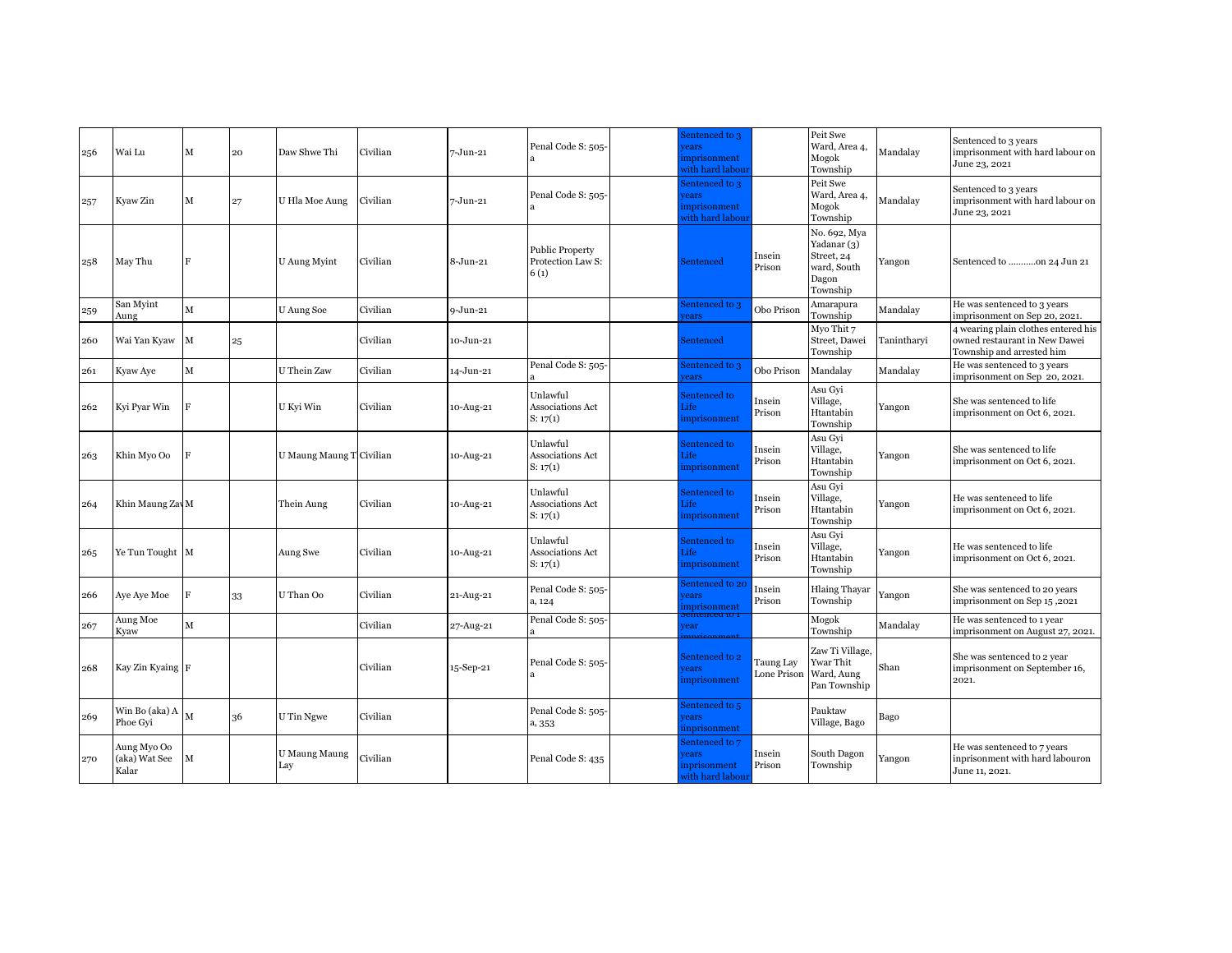| 256 | Wai Lu                                | M              | 20 | Daw Shwe Thi             | Civilian | 7-Jun-21     | Penal Code S: 505-                                  | Sentenced to 3<br>ears<br>mprisonment<br>vith hard labou   |                          | Peit Swe<br>Ward, Area 4,<br>Mogok<br>Township                                | Mandalay    | Sentenced to 3 years<br>imprisonment with hard labour on<br>June 23, 2021                         |
|-----|---------------------------------------|----------------|----|--------------------------|----------|--------------|-----------------------------------------------------|------------------------------------------------------------|--------------------------|-------------------------------------------------------------------------------|-------------|---------------------------------------------------------------------------------------------------|
| 257 | Kyaw Zin                              | M              | 27 | U Hla Moe Aung           | Civilian | 7-Jun-21     | Penal Code S: 505-                                  | entenced to 3<br>ears<br>mprisonment<br>vith hard labour   |                          | Peit Swe<br>Ward, Area 4,<br>Mogok<br>Township                                | Mandalay    | Sentenced to 3 years<br>imprisonment with hard labour on<br>June 23, 2021                         |
| 258 | May Thu                               | F              |    | U Aung Myint             | Civilian | 8-Jun-21     | <b>Public Property</b><br>Protection Law S:<br>6(1) | Sentenced                                                  | Insein<br>Prison         | No. 692, Mya<br>Yadanar (3)<br>Street, 24<br>ward, South<br>Dagon<br>Township | Yangon      | Sentenced to on 24 Jun 21                                                                         |
| 259 | San Myint<br>Aung                     | $\mathbf M$    |    | U Aung Soe               | Civilian | $9 - Jun-21$ |                                                     | sentenced to 3<br>ears                                     | Obo Prison               | Amarapura<br>Township                                                         | Mandalay    | He was sentenced to 3 years<br>imprisonment on Sep 20, 2021.                                      |
| 260 | Wai Yan Kyaw                          | M              | 25 |                          | Civilian | 10-Jun-21    |                                                     | Sentenced                                                  |                          | Myo Thit 7<br>Street, Dawei<br>Township                                       | Tanintharyi | 4 wearing plain clothes entered his<br>owned restaurant in New Dawei<br>Township and arrested him |
| 261 | Kyaw Aye                              | $\mathbf M$    |    | U Thein Zaw              | Civilian | 14-Jun-21    | Penal Code S: 505-                                  | sentenced to 3<br>ears                                     | Obo Prison               | Mandalay                                                                      | Mandalay    | He was sentenced to 3 years<br>imprisonment on Sep 20, 2021.                                      |
| 262 | Kyi Pyar Win                          | F              |    | U Kyi Win                | Civilian | 10-Aug-21    | Unlawful<br>Associations Act<br>S: 17(1)            | Sentenced to<br>.ife<br>mprisonment                        | Insein<br>Prison         | Asu Gyi<br>Village,<br>Htantabin<br>Township                                  | Yangon      | She was sentenced to life<br>imprisonment on Oct 6, 2021.                                         |
| 263 | Khin Myo Oo                           | $\overline{F}$ |    | U Maung Maung T Civilian |          | 10-Aug-21    | Unlawful<br>Associations Act<br>S: 17(1)            | Sentenced to<br><b>life</b><br>mprisonment                 | Insein<br>Prison         | Asu Gyi<br>Village,<br>Htantabin<br>Township                                  | Yangon      | She was sentenced to life<br>imprisonment on Oct 6, 2021.                                         |
| 264 | Khin Maung Zav M                      |                |    | Thein Aung               | Civilian | 10-Aug-21    | Unlawful<br>Associations Act<br>S: 17(1)            | Sentenced to<br>ife.<br>mprisonment                        | Insein<br>Prison         | Asu Gyi<br>Village,<br>Htantabin<br>Township                                  | Yangon      | He was sentenced to life<br>imprisonment on Oct 6, 2021.                                          |
| 265 | Ye Tun Tought M                       |                |    | Aung Swe                 | Civilian | 10-Aug-21    | Unlawful<br>Associations Act<br>S: 17(1)            | Sentenced to<br>ife<br>mprisonment                         | Insein<br>Prison         | Asu Gyi<br>Village,<br>Htantabin<br>Township                                  | Yangon      | He was sentenced to life<br>imprisonment on Oct 6, 2021.                                          |
| 266 | Aye Aye Moe                           | F              | 33 | U Than Oo                | Civilian | 21-Aug-21    | Penal Code S: 505-<br>a, 124                        | entenced to 20<br>ears<br>mprisonment                      | Insein<br>Prison         | <b>Hlaing Thayar</b><br>Township                                              | Yangon      | She was sentenced to 20 years<br>imprisonment on Sep 15,2021                                      |
| 267 | Aung Moe<br>Kvaw                      | $\mathbf M$    |    |                          | Civilian | 27-Aug-21    | Penal Code S: 505-                                  | ear                                                        |                          | Mogok<br>Township                                                             | Mandalay    | He was sentenced to 1 year<br>imprisonment on August 27, 2021.                                    |
| 268 | Kay Zin Kyaing F                      |                |    |                          | Civilian | 15-Sep-21    | Penal Code S: 505-                                  | Sentenced to 2<br>ears<br>mprisonment                      | Taung Lay<br>Lone Prison | Zaw Ti Village,<br>Ywar Thit<br>Ward, Aung<br>Pan Township                    | Shan        | She was sentenced to 2 year<br>imprisonment on September 16,<br>2021.                             |
| 269 | Win Bo (aka) A  <br>Phoe Gyi          | M              | 36 | U Tin Ngwe               | Civilian |              | Penal Code S: 505-<br>a, 353                        | entenced to 5<br>ears<br>inprisonment                      |                          | Pauktaw<br>Village, Bago                                                      | Bago        |                                                                                                   |
| 270 | Aung Myo Oo<br>(aka) Wat See<br>Kalar |                |    | U Maung Maung<br>Lay     | Civilian |              | Penal Code S: 435                                   | Sentenced to 7<br>rears<br>nprisonment<br>vith hard labouı | Insein<br>Prison         | South Dagon<br>Township                                                       | Yangon      | He was sentenced to 7 years<br>inprisonment with hard labouron<br>June 11, 2021.                  |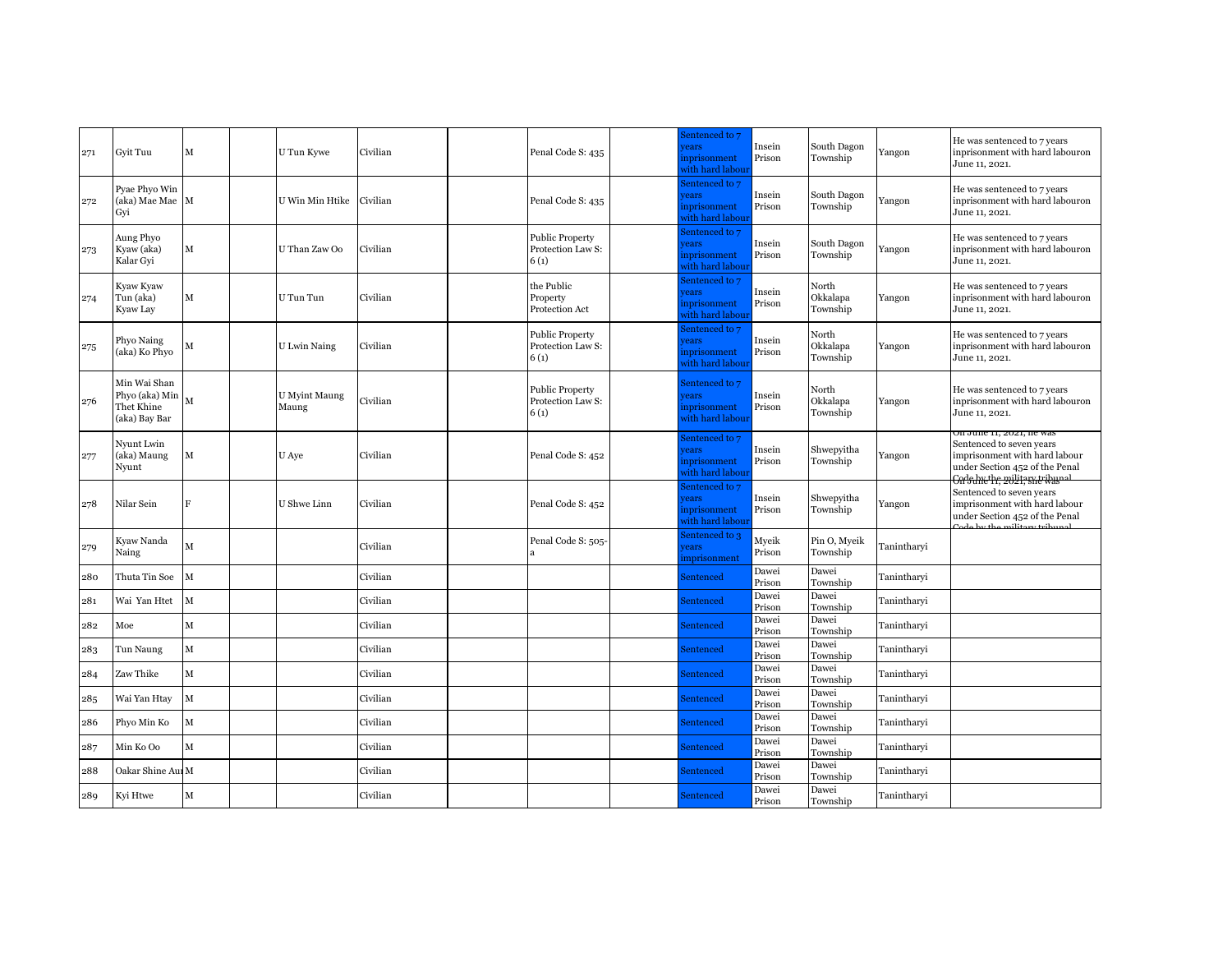| 271 | Gvit Tuu                                                      | М            | U Tun Kywe                    | Civilian | Penal Code S: 435                                   | Sentenced to 7<br>ears<br>nprisonment<br>vith hard labou:  | Insein<br>Prison | South Dagon<br>Township       | Yangon      | He was sentenced to 7 years<br>inprisonment with hard labouron<br>June 11, 2021.                                                                                 |
|-----|---------------------------------------------------------------|--------------|-------------------------------|----------|-----------------------------------------------------|------------------------------------------------------------|------------------|-------------------------------|-------------|------------------------------------------------------------------------------------------------------------------------------------------------------------------|
| 272 | Pyae Phyo Win<br>(aka) Mae Mae M<br>Gyi                       |              | U Win Min Htike               | Civilian | Penal Code S: 435                                   | Sentenced to 7<br>rears<br>nprisonment<br>vith hard labou  | Insein<br>Prison | South Dagon<br>Township       | Yangon      | He was sentenced to 7 years<br>inprisonment with hard labouron<br>June 11, 2021.                                                                                 |
| 273 | Aung Phyo<br>Kyaw (aka)<br>Kalar Gyi                          | м            | U Than Zaw Oo                 | Civilian | <b>Public Property</b><br>Protection Law S:<br>6(1) | entenced to 7<br>rears<br>nprisonment<br>vith hard labou:  | Insein<br>Prison | South Dagon<br>Township       | Yangon      | He was sentenced to 7 years<br>inprisonment with hard labouron<br>June 11, 2021.                                                                                 |
| 274 | Kyaw Kyaw<br>Tun (aka)<br>Kyaw Lay                            | М            | U Tun Tun                     | Civilian | the Public<br>Property<br>Protection Act            | entenced to 7<br>rears<br>nprisonment<br>vith hard labou:  | Insein<br>Prison | North<br>Okkalapa<br>Township | Yangon      | He was sentenced to 7 years<br>inprisonment with hard labouron<br>June 11, 2021.                                                                                 |
| 275 | Phyo Naing<br>(aka) Ko Phyo                                   | М            | <b>U</b> Lwin Naing           | Civilian | <b>Public Property</b><br>Protection Law S:<br>6(1) | Sentenced to 7<br>rears<br>nprisonment<br>vith hard labou: | Insein<br>Prison | North<br>Okkalapa<br>Township | Yangon      | He was sentenced to 7 years<br>inprisonment with hard labouron<br>June 11, 2021.                                                                                 |
| 276 | Min Wai Shan<br>Phyo (aka) Min<br>Thet Khine<br>(aka) Bay Bar | M            | <b>U</b> Myint Maung<br>Maung | Civilian | <b>Public Property</b><br>Protection Law S:<br>6(1) | Sentenced to 7<br>ears<br>nprisonment<br>vith hard labour  | Insein<br>Prison | North<br>Okkalapa<br>Township | Yangon      | He was sentenced to 7 years<br>inprisonment with hard labouron<br>June 11, 2021.                                                                                 |
| 277 | Nyunt Lwin<br>(aka) Maung<br>Nyunt                            | М            | U Aye                         | Civilian | Penal Code S: 452                                   | Sentenced to 7<br>rears<br>nprisonment<br>vith hard labour | Insein<br>Prison | Shwepyitha<br>Township        | Yangon      | On June 11, 2021, he was<br>Sentenced to seven years<br>imprisonment with hard labour<br>under Section 452 of the Penal<br><del>On'nine'in, zolli, sne was</del> |
| 278 | Nilar Sein                                                    | $\mathbf{F}$ | U Shwe Linn                   | Civilian | Penal Code S: 452                                   | entenced to 7<br>ears<br>nprisonment<br>vith hard labou    | Insein<br>Prison | Shwepyitha<br>Township        | Yangon      | Sentenced to seven years<br>imprisonment with hard labour<br>under Section 452 of the Penal<br>ada bu tha militam tuib                                           |
| 279 | Kyaw Nanda<br>Naing                                           | M            |                               | Civilian | Penal Code S: 505-                                  | entenced to 3<br>ears<br>mprisonment                       | Myeik<br>Prison  | Pin O, Myeik<br>Township      | Tanintharyi |                                                                                                                                                                  |
| 280 | Thuta Tin Soe                                                 | $\mathbf M$  |                               | Civilian |                                                     | <b>Sentenced</b>                                           | Dawei<br>Prison  | Dawei<br>Township             | Tanintharyi |                                                                                                                                                                  |
| 281 | Wai Yan Htet                                                  | $\mathbf M$  |                               | Civilian |                                                     | Sentenced                                                  | Dawei<br>Prison  | Dawei<br>Township             | Tanintharyi |                                                                                                                                                                  |
| 282 | Moe                                                           | $\mathbf M$  |                               | Civilian |                                                     | Sentenced                                                  | Dawei<br>Prison  | Dawei<br>Township             | Tanintharyi |                                                                                                                                                                  |
| 283 | Tun Naung                                                     | $\mathbf M$  |                               | Civilian |                                                     | Sentenced                                                  | Dawei<br>Prison  | Dawei<br>Township             | Tanintharyi |                                                                                                                                                                  |
| 284 | Zaw Thike                                                     | $\mathbf M$  |                               | Civilian |                                                     | Sentenced                                                  | Dawei<br>Prison  | Dawei<br>Township             | Tanintharyi |                                                                                                                                                                  |
| 285 | Wai Yan Htay                                                  | $\mathbf M$  |                               | Civilian |                                                     | Sentenced                                                  | Dawei<br>Prison  | Dawei<br>Township             | Tanintharyi |                                                                                                                                                                  |
| 286 | Phyo Min Ko                                                   | $\mathbf M$  |                               | Civilian |                                                     | Sentenced                                                  | Dawei<br>Prison  | Dawei<br>Township             | Tanintharyi |                                                                                                                                                                  |
| 287 | Min Ko Oo                                                     | $\mathbf{M}$ |                               | Civilian |                                                     | Sentenced                                                  | Dawei<br>Prison  | Dawei<br>Township             | Tanintharyi |                                                                                                                                                                  |
| 288 | Oakar Shine Aui M                                             |              |                               | Civilian |                                                     | <b>Sentenced</b>                                           | Dawei<br>Prison  | Dawei<br>Township             | Tanintharyi |                                                                                                                                                                  |
| 289 | Kyi Htwe                                                      | M            |                               | Civilian |                                                     | <b>Sentenced</b>                                           | Dawei<br>Prison  | Dawei<br>Township             | Tanintharvi |                                                                                                                                                                  |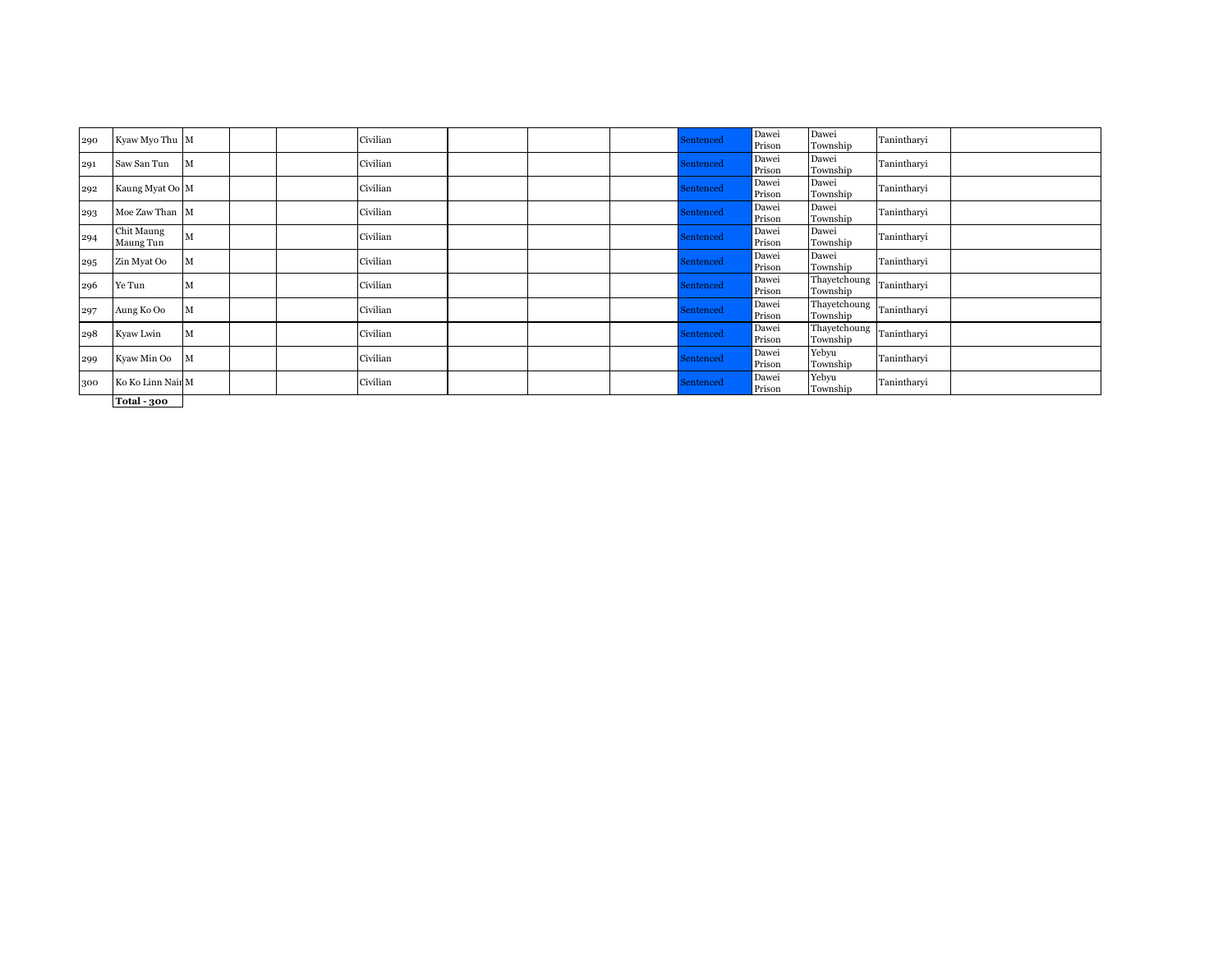| 290 | Kyaw Myo Thu M          |   |  | Civilian |  | Sentenced | Dawei<br>Prison | Dawei<br>Township                    | Tanintharyi |  |
|-----|-------------------------|---|--|----------|--|-----------|-----------------|--------------------------------------|-------------|--|
| 291 | Saw San Tun             | M |  | Civilian |  | Sentenced | Dawei<br>Prison | Dawei<br>Township                    | Tanintharyi |  |
| 292 | Kaung Myat Oo M         |   |  | Civilian |  | Sentenced | Dawei<br>Prison | Dawei<br>Township                    | Tanintharyi |  |
| 293 | Moe Zaw Than M          |   |  | Civilian |  | Sentenced | Dawei<br>Prison | Dawei<br>Township                    | Tanintharyi |  |
| 294 | Chit Maung<br>Maung Tun | M |  | Civilian |  | Sentenced | Dawei<br>Prison | Dawei<br>Township                    | Tanintharyi |  |
| 295 | Zin Myat Oo             | M |  | Civilian |  | Sentenced | Dawei<br>Prison | Dawei<br>Township                    | Tanintharyi |  |
| 296 | Ye Tun                  | M |  | Civilian |  | Sentenced | Dawei<br>Prison | Thayetchoung<br>Township             | Tanintharyi |  |
| 297 | Aung Ko Oo              | M |  | Civilian |  | Sentenced | Dawei<br>Prison | Thayetchoung<br>Township             | Tanintharyi |  |
| 298 | Kyaw Lwin               | M |  | Civilian |  | Sentenced | Dawei<br>Prison | Thayetchoung Tanintharyi<br>Township |             |  |
| 299 | Kyaw Min Oo             | M |  | Civilian |  | Sentenced | Dawei<br>Prison | Yebyu<br>Township                    | Tanintharyi |  |
| 300 | Ko Ko Linn Nair M       |   |  | Civilian |  | Sentenced | Dawei<br>Prison | Yebyu<br>Township                    | Tanintharyi |  |
|     | $m + 1 - 1$             |   |  |          |  |           |                 |                                      |             |  |

**Total - 300**